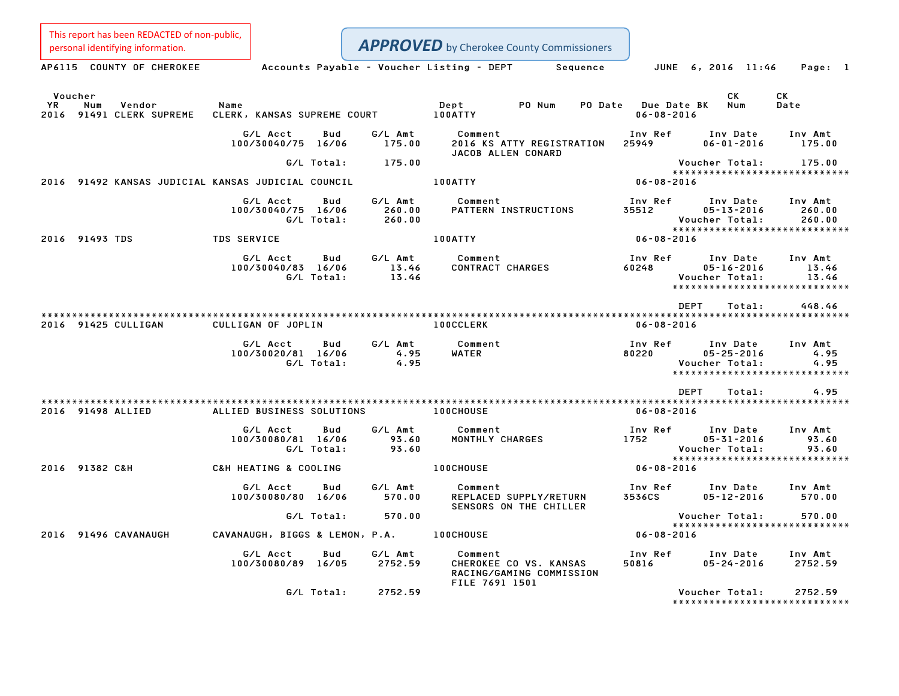This report has been REDACTED of non-public,

|    | personal identifying information.                    |                                           |                   |                             |                           | <b>APPROVED</b> by Cherokee County Commissioners   |          |                                         |                                                                                 |            |                             |
|----|------------------------------------------------------|-------------------------------------------|-------------------|-----------------------------|---------------------------|----------------------------------------------------|----------|-----------------------------------------|---------------------------------------------------------------------------------|------------|-----------------------------|
|    | AP6115 COUNTY OF CHEROKEE                            | Accounts Payable - Voucher Listing - DEPT |                   |                             |                           |                                                    | Sequence |                                         | JUNE 6, 2016 11:46                                                              |            | Page: 1                     |
| YR | Voucher<br>Num<br>Vendor<br>2016 91491 CLERK SUPREME | Name<br>CLERK, KANSAS SUPREME COURT       |                   |                             | Dept<br><b>100ATTY</b>    | PO Num                                             |          | PO Date Due Date BK<br>$06 - 08 - 2016$ | СK<br>Num                                                                       | CK<br>Date |                             |
|    |                                                      | G/L Acct<br>100/30040/75 16/06            | Bud               | G/L Amt<br>175.00           | Comment                   | 2016 KS ATTY REGISTRATION<br>JACOB ALLEN CONARD    |          | Inv Ref<br>25949                        | Inv Date<br>$06 - 01 - 2016$                                                    |            | Inv Amt<br>175.00           |
|    |                                                      |                                           | G/L Total:        | 175.00                      |                           |                                                    |          |                                         | Voucher Total:                                                                  |            | 175.00                      |
|    | 2016 91492 KANSAS JUDICIAL KANSAS JUDICIAL COUNCIL   |                                           |                   |                             | <b>100ATTY</b>            |                                                    |          | $06 - 08 - 2016$                        | ******************************                                                  |            |                             |
|    |                                                      | G/L Acct<br>100/30040/75 16/06            | Bud<br>G/L Total: | G/L Amt<br>260.00<br>260.00 | Comment                   | PATTERN INSTRUCTIONS                               |          | Inv Ref<br>35512                        | Inv Date<br>$05 - 13 - 2016$<br>Voucher Total:                                  |            | Inv Amt<br>260.00<br>260.00 |
|    | 2016 91493 TDS                                       | <b>TDS SERVICE</b>                        |                   |                             | <b>100ATTY</b>            |                                                    |          | $06 - 08 - 2016$                        | ******************************                                                  |            |                             |
|    |                                                      | G/L Acct<br>100/30040/83 16/06            | Bud<br>G/L Total: | G/L Amt<br>13.46<br>13.46   | Comment                   | <b>CONTRACT CHARGES</b>                            |          | Inv Ref<br>60248                        | Inv Date<br>$05 - 16 - 2016$<br>Voucher Total:<br>***************************** |            | Inv Amt<br>13.46<br>13.46   |
|    |                                                      |                                           |                   |                             |                           |                                                    |          |                                         | <b>DEPT</b>                                                                     | Total:     | 448.46                      |
|    | 2016 91425 CULLIGAN                                  | CULLIGAN OF JOPLIN                        |                   |                             | <b>100CCLERK</b>          |                                                    |          | $06 - 08 - 2016$                        |                                                                                 |            |                             |
|    |                                                      | G/L Acct<br>100/30020/81 16/06            | Bud<br>G/L Total: | G/L Amt<br>4.95<br>4.95     | Comment<br>WATER          |                                                    |          | Inv Ref<br>80220                        | Inv Date<br>$05 - 25 - 2016$<br>Voucher Total:<br>***************************** |            | Inv Amt<br>4.95<br>4.95     |
|    |                                                      |                                           |                   |                             |                           |                                                    |          |                                         | <b>DEPT</b>                                                                     | Total:     | 4.95                        |
|    | 2016 91498 ALLIED                                    | ALLIED BUSINESS SOLUTIONS                 |                   |                             | <b>100CHOUSE</b>          |                                                    |          | $06 - 08 - 2016$                        |                                                                                 |            |                             |
|    |                                                      | G/L Acct<br>100/30080/81 16/06            | Bud<br>G/L Total: | G/L Amt<br>93.60<br>93.60   | Comment                   | MONTHLY CHARGES                                    |          | Inv Ref<br>1752                         | Inv Date<br>$05 - 31 - 2016$<br>Voucher Total:                                  |            | Inv Amt<br>93.60<br>93.60   |
|    | 2016 91382 C&H                                       | C&H HEATING & COOLING                     |                   |                             | <b>100CHOUSE</b>          |                                                    |          | 06-08-2016                              | ******************************                                                  |            |                             |
|    |                                                      | G/L Acct<br>100/30080/80 16/06            | Bud               | G/L Amt<br>570.00           | Comment                   | REPLACED SUPPLY/RETURN<br>SENSORS ON THE CHILLER   |          | Inv Ref<br>3536CS                       | Inv Date<br>$05 - 12 - 2016$                                                    |            | Inv Amt<br>570.00           |
|    |                                                      |                                           | G/L Total:        | 570.00                      |                           |                                                    |          |                                         | Voucher Total:<br>*****************************                                 |            | 570.00                      |
|    | 2016 91496 CAVANAUGH                                 | CAVANAUGH, BIGGS & LEMON, P.A.            |                   |                             | <b>100CHOUSE</b>          |                                                    |          | $06 - 08 - 2016$                        |                                                                                 |            |                             |
|    |                                                      | G/L Acct<br>100/30080/89 16/05            | Bud               | G/L Amt<br>2752.59          | Comment<br>FILE 7691 1501 | CHEROKEE CO VS. KANSAS<br>RACING/GAMING COMMISSION |          | Inv Ref<br>50816                        | Inv Date<br>$05 - 24 - 2016$                                                    |            | Inv Amt<br>2752.59          |
|    |                                                      |                                           | G/L Total:        | 2752.59                     |                           |                                                    |          |                                         | Voucher Total:<br>*****************************                                 |            | 2752.59                     |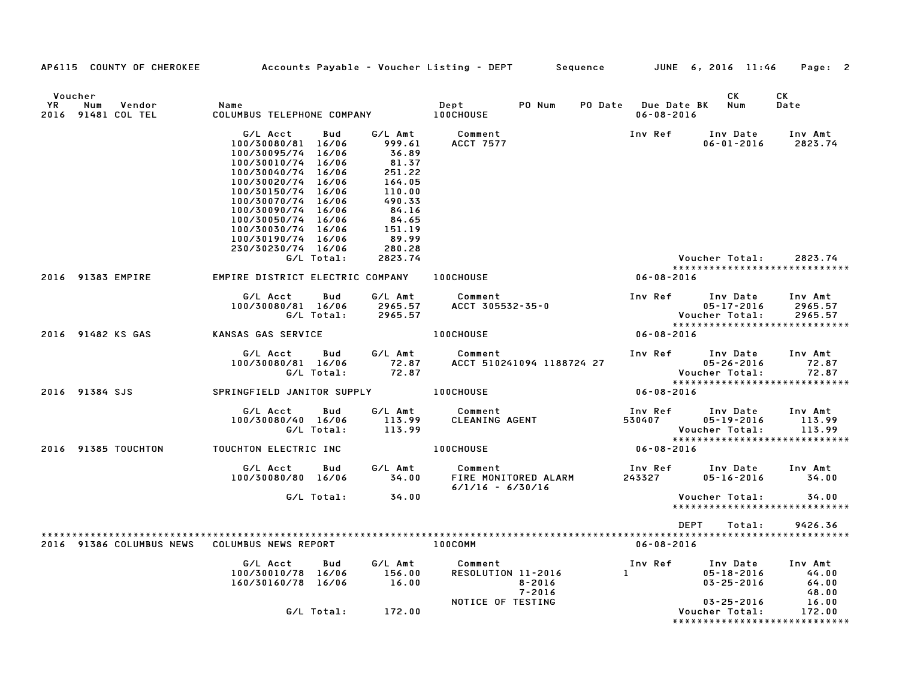| AP6115 COUNTY OF CHEROKEE                                   | Accounts Payable – Voucher Listing – DEPT        Sequence         JUNE   6, 2016   11:46     Page:   2                                                                                                                                                                                  |                                                                                                                          |                                      |                                              |                                                              |                                                                                          |                                                              |
|-------------------------------------------------------------|-----------------------------------------------------------------------------------------------------------------------------------------------------------------------------------------------------------------------------------------------------------------------------------------|--------------------------------------------------------------------------------------------------------------------------|--------------------------------------|----------------------------------------------|--------------------------------------------------------------|------------------------------------------------------------------------------------------|--------------------------------------------------------------|
| Voucher<br><b>YR</b><br>Num<br>Vendor<br>2016 91481 COL TEL | Name<br>COLUMBUS TELEPHONE COMPANY 100CHOUSE                                                                                                                                                                                                                                            |                                                                                                                          |                                      |                                              | $06 - 08 - 2016$                                             | CK                                                                                       | CK<br>Date                                                   |
|                                                             | G/L Acct<br>Bud<br>100/30080/81 16/06<br>100/30095/74 16/06<br>100/30010/74 16/06<br>100/30040/74 16/06<br>100/30020/74 16/06<br>100/30150/74 16/06<br>100/30070/74 16/06<br>100/30090/74 16/06<br>100/30050/74 16/06<br>100/30030/74 16/06<br>100/30190/74 16/06<br>230/30230/74 16/06 | 999.61<br>36.89<br>81.37<br>251.22<br>164.05<br>164.05<br>110.00<br>490.33<br>84.16<br>84.65<br>84.65<br>151.19<br>89.99 | G/L Amt Comment<br>ACCT 7577         |                                              | <b>Inv Ref</b>                                               | Inv Date Inv Amt<br>$06 - 01 - 2016$                                                     | 2823.74                                                      |
|                                                             | G/L Total:                                                                                                                                                                                                                                                                              | 280.28<br>2823.74<br>2823.74                                                                                             |                                      |                                              |                                                              | Voucher Total:                                                                           | 2823.74                                                      |
| 2016 91383 EMPIRE                                           | EMPIRE DISTRICT ELECTRIC COMPANY 100CHOUSE<br>G/L Acct<br>Bud<br>100/30080/81 16/06                                                                                                                                                                                                     |                                                                                                                          | G/L Amt Comment<br>ACCT 305532-35-0  |                                              | $06 - 08 - 2016$<br>Inv Ref Inv Date                         |                                                                                          | Inv Amt                                                      |
|                                                             |                                                                                                                                                                                                                                                                                         |                                                                                                                          |                                      |                                              |                                                              |                                                                                          |                                                              |
| 2016 91482 KS GAS                                           | KANSAS GAS SERVICE                                                                                                                                                                                                                                                                      |                                                                                                                          | <b>100CHOUSE</b>                     | $06 - 08 - 2016$                             |                                                              |                                                                                          |                                                              |
|                                                             | G/L Acct<br>100/30080/81 16/06<br>G/L Total:                                                                                                                                                                                                                                            | 72.87<br>72.87                                                                                                           | Bud G/L Amt Comment                  | ACCT 510241094 1188724 27                    | Inv Ref      Inv Date     Inv Amt                            | 05-26-2016<br>Voucher Total:                                                             | 72.87<br>72.87                                               |
| 2016 91384 SJS                                              | SPRINGFIELD JANITOR SUPPLY <b>100CHOUSE</b>                                                                                                                                                                                                                                             |                                                                                                                          |                                      |                                              | $06 - 08 - 2016$                                             |                                                                                          |                                                              |
|                                                             | G/L Acct<br>Bud<br>100/30080/40 16/06<br>G/L Total:                                                                                                                                                                                                                                     | G/L Amt<br>113.99<br>113.99                                                                                              | Comment<br>Comment<br>CLEANING AGENT |                                              | Inv Ref                                                      | Inv Date<br>Voucher Total:                                                               | Inv Amt<br>113.99<br>113.99<br>***************************** |
| 2016 91385 TOUCHTON                                         | TOUCHTON ELECTRIC INC <b>THE RESERVITY OF LOCHOUSE</b>                                                                                                                                                                                                                                  |                                                                                                                          |                                      |                                              | $06 - 08 - 2016$                                             |                                                                                          |                                                              |
|                                                             | G/L Acct<br>100/30080/80 16/06                                                                                                                                                                                                                                                          | Bud G/LAmt<br>34.00                                                                                                      | Comment<br>$6/1/16 - 6/30/16$        | FIRE MONITORED ALARM                         | Inv Ref      Inv Date     Inv Amt<br>243327 05-16-2016 34.00 |                                                                                          |                                                              |
|                                                             | G/L Total:                                                                                                                                                                                                                                                                              | 34.00                                                                                                                    |                                      |                                              |                                                              | Voucher Total: 34.00                                                                     | *****************************                                |
|                                                             |                                                                                                                                                                                                                                                                                         |                                                                                                                          |                                      |                                              | DEPT                                                         | Total:                                                                                   | 9426.36                                                      |
| 2016 91386 COLUMBUS NEWS                                    | COLUMBUS NEWS REPORT                                                                                                                                                                                                                                                                    | <b>100COMM</b>                                                                                                           |                                      |                                              | $06 - 08 - 2016$                                             |                                                                                          |                                                              |
|                                                             | G/L Acct<br>Bud<br>100/30010/78 16/06<br>160/30160/78 16/06<br>G/L Total: 172.00                                                                                                                                                                                                        | G∕L Amt<br>156.00<br>16.00                                                                                               | Comment<br>NOTICE OF TESTING         | RESOLUTION 11-2016 1<br>$8 - 2016$<br>7-2016 | Inv Ref                                                      | Inv Date Inv Amt<br>$05 - 18 - 2016$<br>$03 - 25 - 2016$<br>03-25-2016<br>Voucher Total: | 44.00<br>64.00<br>48.00<br>16.00<br>172.00                   |
|                                                             |                                                                                                                                                                                                                                                                                         |                                                                                                                          |                                      |                                              |                                                              |                                                                                          | *****************************                                |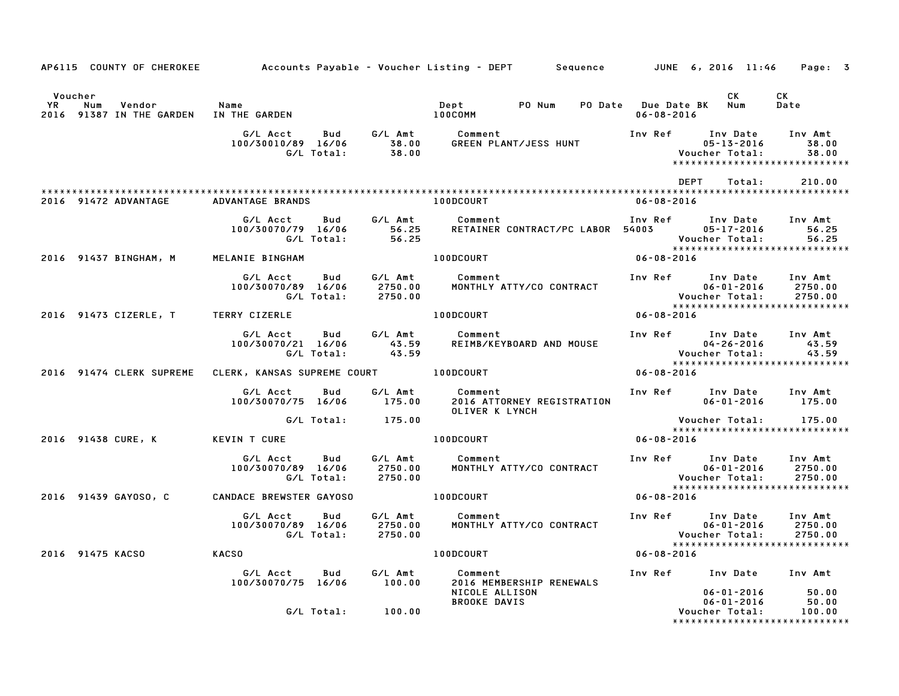|                      |                                       |                                                                                             |                   | AP6115 COUNTY OF CHEROKEE Accounts Payable - Voucher Listing - DEPT Sequence JUNE 6, 2016 11:46 Page: 3                                                                                                                                 |                          |                                                        |                                                                                        |
|----------------------|---------------------------------------|---------------------------------------------------------------------------------------------|-------------------|-----------------------------------------------------------------------------------------------------------------------------------------------------------------------------------------------------------------------------------------|--------------------------|--------------------------------------------------------|----------------------------------------------------------------------------------------|
| Voucher<br><b>YR</b> | Vendor Name<br>Num                    | 2016 91387 IN THE GARDEN IN THE GARDEN AND THE TOOCOMM                                      |                   |                                                                                                                                                                                                                                         | $06 - 08 - 2016$         | CK                                                     | CK                                                                                     |
|                      |                                       | G/L Acct Bud G/L Amt Comment<br>100/30010/89 16/06 38.00 GREEN PLAN<br>G/L Total: 38.00     |                   |                                                                                                                                                                                                                                         |                          |                                                        | 38.00<br>38.00                                                                         |
|                      | 2016 91472 ADVANTAGE                  | <b>ADVANTAGE BRANDS</b>                                                                     |                   | <b>100DCOURT</b>                                                                                                                                                                                                                        | DEPT<br>$06 - 08 - 2016$ | Total:                                                 | 210.00                                                                                 |
|                      |                                       | G/L Acct<br><b>Bud</b><br>100/30070/79 16/06<br>56.25 6/L Total: 56.25                      |                   | G/L Amt Comment                                                                                                                                                                                                                         |                          | <b>Voucher Total:</b>                                  | 56.25                                                                                  |
|                      | 2016 91437 BINGHAM, M MELANIE BINGHAM |                                                                                             |                   | 100DCOURT                                                                                                                                                                                                                               | $06 - 08 - 2016$         |                                                        |                                                                                        |
|                      |                                       | G/L Acct Bud G/L Amt Comment<br>100/30070/89 16/06<br>G/L Total: 2750.00<br>2750.00 2750.00 |                   |                                                                                                                                                                                                                                         |                          |                                                        |                                                                                        |
|                      | 2016 91473 CIZERLE, T TERRY CIZERLE   |                                                                                             |                   | 100DCOURT                                                                                                                                                                                                                               | $06 - 08 - 2016$         |                                                        |                                                                                        |
|                      |                                       | G/L Acct<br><b>Bud</b><br>100/30070/21 16/06 43.59<br>G/L Total: 43.59                      |                   | G/L Amt Comment                                                                                                                                                                                                                         |                          |                                                        |                                                                                        |
|                      |                                       | 2016 91474 CLERK SUPREME CLERK, KANSAS SUPREME COURT   100DCOURT                            |                   |                                                                                                                                                                                                                                         | $06 - 08 - 2016$         |                                                        |                                                                                        |
|                      |                                       | G/L Acct Bud<br>100/30070/75 16/06 175.00                                                   |                   | G/L Amt Comment                                                                                                                                                                                                                         |                          |                                                        |                                                                                        |
|                      |                                       | G/L Total: 175.00                                                                           |                   | OLIVER K LYNCH                                                                                                                                                                                                                          |                          | Voucher Total: 175.00<br>***************************** |                                                                                        |
|                      | 2016 91438 CURE, K KEVIN T CURE       |                                                                                             |                   | <b>100DCOURT</b>                                                                                                                                                                                                                        | $06 - 08 - 2016$         |                                                        |                                                                                        |
|                      |                                       |                                                                                             |                   | G/L Acct Bud G/L Amt Comment Inv Ref Inv Date Inv Amt<br>100/30070/89 16/06 2750.00 MONTHLY ATTY/CO CONTRACT 06-01-2016 2750.00<br>G/L Total: 2750.00 MONTHLY ATTY/CO CONTRACT Voucher Total: 2750.00<br>****************************** |                          |                                                        |                                                                                        |
|                      | 2016 91439 GAYOSO, C                  | CANDACE BREWSTER GAYOSO <b>CANDACE BREWSTER</b>                                             |                   |                                                                                                                                                                                                                                         | 06-08-2016               |                                                        |                                                                                        |
|                      |                                       | G/L Acct<br><b>Bud</b><br>100/30070/89 16/06 2750.00<br>G/L Total: 2750.00                  |                   | G/L Amt Comment<br>MONTHLY ATTY/CO CONTRACT                                                                                                                                                                                             |                          | Inv Ref      Inv Date     Inv Amt                      | 111V Net<br>06-01-2016 2750.00<br>Voucher Total: 2750.00<br>xxxxxxxxxxxxxxxxxxxxxxxxxx |
|                      | 2016 91475 KACSO KACSO                |                                                                                             |                   | <b>100DCOURT</b>                                                                                                                                                                                                                        | $06 - 08 - 2016$         |                                                        |                                                                                        |
|                      |                                       | G/L Acct<br><b>Bud</b><br>100/30070/75 16/06                                                | G/L Amt<br>100.00 | Comment<br>2016 MEMBERSHIP RENEWALS                                                                                                                                                                                                     |                          | Inv Ref      Inv Date     Inv Amt<br>06-01-2016 50.00  |                                                                                        |
|                      |                                       | G/L Total: 100.00                                                                           |                   | <b>NICOLE ALLISON<br/>BROOKE DAVIS</b>                                                                                                                                                                                                  |                          | $06 - 01 - 2016$<br>Voucher Total:                     | 50.00<br>100.00<br>*****************************                                       |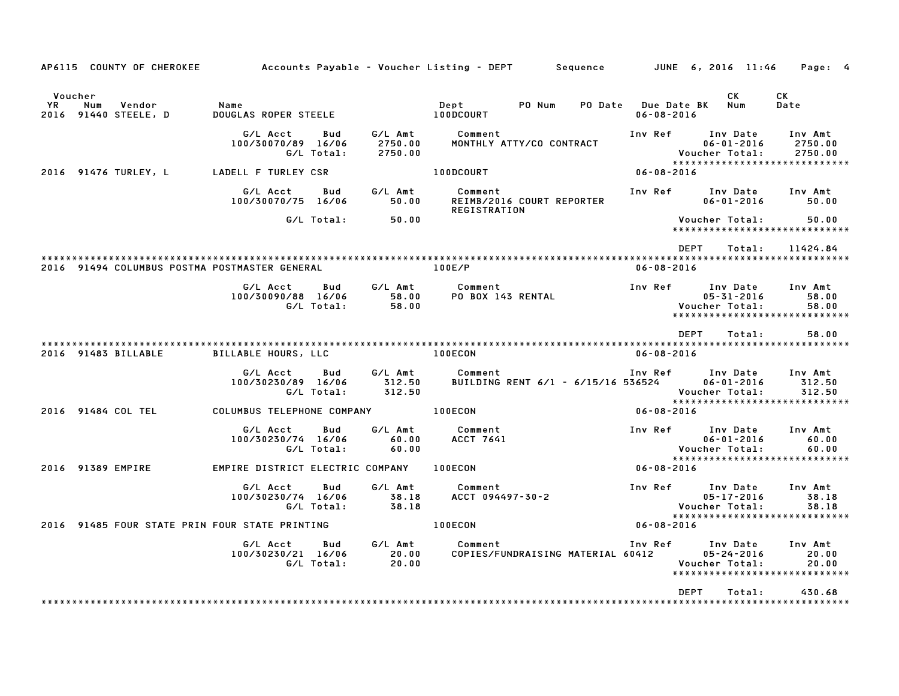| AP6115 COUNTY OF CHEROKEE                              |                                     |                   |                               | Accounts Payable – Voucher Listing – DEPT        Sequence         JUNE   6, 2016   11:46     Page:   4 |                     |                                 |                                                                                  |                                                             |
|--------------------------------------------------------|-------------------------------------|-------------------|-------------------------------|--------------------------------------------------------------------------------------------------------|---------------------|---------------------------------|----------------------------------------------------------------------------------|-------------------------------------------------------------|
| Voucher<br>YR<br>Num<br>Vendor<br>2016 91440 STEELE, D | Name<br><b>DOUGLAS ROPER STEELE</b> |                   |                               | PO Num<br>Dept<br>100DCOURT                                                                            | PO Date Due Date BK | $06 - 08 - 2016$                | CK<br>Num                                                                        | CK<br>Date                                                  |
|                                                        | G/L Acct<br>100/30070/89 16/06      | Bud<br>G/L Total: | G/L Amt<br>2750.00<br>2750.00 | Comment<br>MONTHLY ATTY/CO CONTRACT                                                                    |                     | Inv Ref                         | Inv Date<br>$06 - 01 - 2016$<br>Voucher Total:<br>*****************************  | Inv Amt<br>2750.00<br>2750.00                               |
| 2016 91476 TURLEY, L                                   | LADELL F TURLEY CSR                 |                   |                               | 100DCOURT                                                                                              |                     | $06 - 08 - 2016$                |                                                                                  |                                                             |
|                                                        | G/L Acct<br>100/30070/75 16/06      | Bud               | G/L Amt<br>50.00              | Comment<br>REIMB/2016 COURT REPORTER<br><b>REGISTRATION</b>                                            |                     | Inv Ref                         | Inv Date<br>$06 - 01 - 2016$                                                     | Inv Amt<br>50.00                                            |
|                                                        |                                     | G/L Total:        | 50.00                         |                                                                                                        |                     |                                 | Voucher Total:<br>*****************************                                  | 50.00                                                       |
| 2016 91494 COLUMBUS POSTMA POSTMASTER GENERAL          |                                     |                   |                               | 100E/P                                                                                                 |                     | <b>DEPT</b><br>$06 - 08 - 2016$ | Total:                                                                           | 11424.84                                                    |
|                                                        | G/L Acct<br>100/30090/88 16/06      | Bud<br>G/L Total: | G/L Amt<br>58.00<br>58.00     | Comment<br>PO BOX 143 RENTAL                                                                           |                     | Inv Ref                         | Inv Date<br>$05 - 31 - 2016$<br>Voucher Total:                                   | Inv Amt<br>58.00<br>58.00<br>*****************************  |
|                                                        |                                     |                   |                               |                                                                                                        |                     | <b>DEPT</b>                     | Total:                                                                           | 58.00                                                       |
| 2016 91483 BILLABLE                                    | <b>BILLABLE HOURS, LLC</b>          |                   |                               | 100ECON                                                                                                |                     | $06 - 08 - 2016$                |                                                                                  |                                                             |
|                                                        | G/L Acct<br>100/30230/89 16/06      | Bud<br>G/L Total: | G∕L Amt<br>312.50<br>312.50   | Comment<br>BUILDING RENT 6/1 - 6/15/16 536524                                                          |                     | Inv Ref                         | Inv Date<br>$06 - 01 - 2016$<br>Voucher Total:<br>****************************** | Inv Amt<br>312.50<br>312.50                                 |
| 2016 91484 COL TEL                                     | COLUMBUS TELEPHONE COMPANY          |                   |                               | 100ECON                                                                                                |                     | $06 - 08 - 2016$                |                                                                                  |                                                             |
|                                                        | G/L Acct<br>100/30230/74 16/06      | Bud<br>G/L Total: | G/L Amt<br>60.00<br>60.00     | Comment<br>ACCT 7641                                                                                   |                     | Inv Ref                         | Inv Date<br>$06 - 01 - 2016$<br>Voucher Total:<br>****************************** | Inv Amt<br>60.00<br>60.00                                   |
| 2016 91389 EMPIRE                                      | EMPIRE DISTRICT ELECTRIC COMPANY    |                   |                               | 100ECON                                                                                                |                     | $06 - 08 - 2016$                |                                                                                  |                                                             |
|                                                        | G/L Acct<br>100/30230/74 16/06      | Bud<br>G/L Total: | G/L Amt<br>38.18<br>38.18     | Comment<br>ACCT 094497-30-2                                                                            |                     |                                 | Inv Ref      Inv Date<br>$05 - 17 - 2016$<br>Voucher Total:                      | Inv Amt<br>38.18<br>38.18<br>****************************** |
| 2016 91485 FOUR STATE PRIN FOUR STATE PRINTING         |                                     |                   |                               | <b>100ECON</b>                                                                                         |                     | $06 - 08 - 2016$                |                                                                                  |                                                             |
|                                                        | G/L Acct<br>100/30230/21 16/06      | Bud<br>G/L Total: | G/L Amt<br>20.00<br>20.00     | Comment<br>COPIES/FUNDRAISING MATERIAL 60412                                                           |                     |                                 | Inv Ref Inv Date<br>05-24-2016<br>Voucher Total:                                 | Inv Amt<br>20.00<br>20.00<br>*****************************  |
|                                                        |                                     |                   |                               |                                                                                                        |                     | <b>DEPT</b>                     | Total:                                                                           | 430.68                                                      |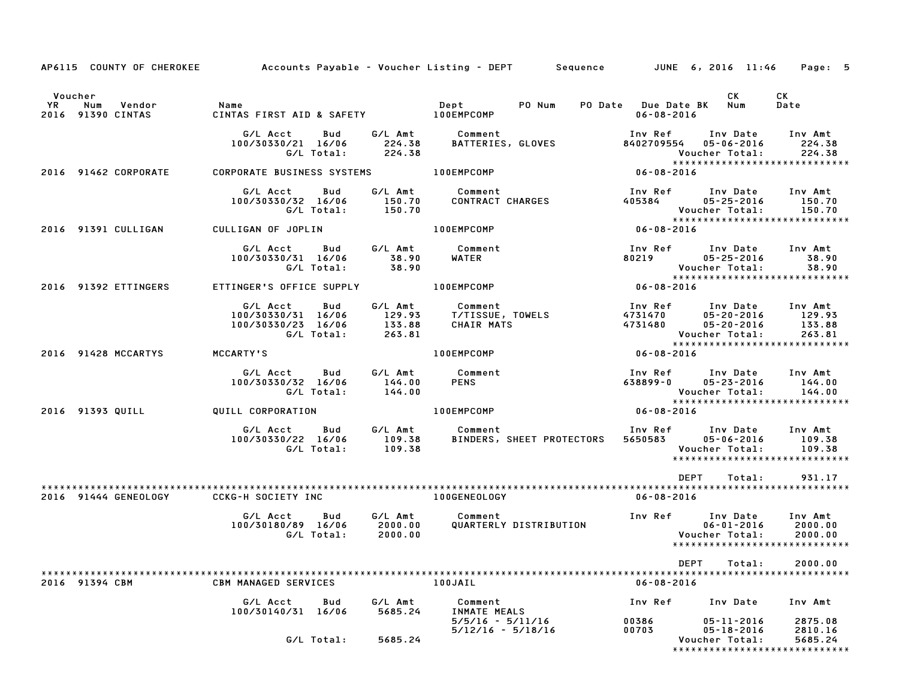|           |                                    | AP6115 COUNTY OF CHEROKEE Accounts Payable - Voucher Listing - DEPT Sequence JUNE 6, 2016 11:46 Page: 5 |                               |                                                  |                                             |                                                                                                               |                                       |
|-----------|------------------------------------|---------------------------------------------------------------------------------------------------------|-------------------------------|--------------------------------------------------|---------------------------------------------|---------------------------------------------------------------------------------------------------------------|---------------------------------------|
| Voucher   |                                    |                                                                                                         |                               |                                                  |                                             | CK                                                                                                            | CK                                    |
| <b>YR</b> | Num<br>Vendor<br>2016 91390 CINTAS | Name<br>CINTAS FIRST AID & SAFETY 100EMPCOMP                                                            |                               | Dept PO Num                                      | PO Date Due Date BK Num<br>$06 - 08 - 2016$ |                                                                                                               | Date                                  |
|           |                                    | G/L Acct<br>Bud<br>100/30330/21 16/06<br>G/L Total:                                                     | G/L Amt<br>224.38<br>224.38   | Comment<br>BATTERIES, GLOVES                     |                                             | Inv Ref      Inv Date     Inv Amt<br>8402709554 05-06-2016<br>Voucher Total:<br>***************************** | 224.38<br>224.38                      |
|           | 2016 91462 CORPORATE               | CORPORATE BUSINESS SYSTEMS 100EMPCOMP                                                                   |                               |                                                  | $06 - 08 - 2016$                            |                                                                                                               |                                       |
|           |                                    | G/L Acct<br>Bud<br>100/30330/32 16/06<br>G/L Total:                                                     | 150.70<br>150.70              | G/L Amt Comment<br>CONTRACT CHARGES              | Inv Ref<br>405384                           | Inv Date<br>$05 - 25 - 2016$<br>Voucher Total:<br>*****************************                               | Inv Amt<br>150.70<br>150.70           |
|           | 2016 91391 CULLIGAN                | CULLIGAN OF JOPLIN                                                                                      |                               | 100EMPCOMP                                       | $06 - 08 - 2016$                            |                                                                                                               |                                       |
|           |                                    | G/L Acct<br>Bud<br>100/30330/31 16/06<br>G/L Total:                                                     | G∕L Amt<br>38.90<br>38.90     | Comment<br>WATER                                 | Inv Ref<br>80219                            | Inv Date Inv Amt<br>$05 - 25 - 2016$<br>Voucher Total:<br>*****************************                       | 38.90<br>38.90                        |
|           | 2016 91392 ETTINGERS               | ETTINGER'S OFFICE SUPPLY 100EMPCOMP                                                                     |                               |                                                  | $06 - 08 - 2016$                            |                                                                                                               |                                       |
|           |                                    | G/L Acct<br>Bud<br>100/30330/31 16/06<br>100/30330/23 16/06<br>G/L Total:                               | G∕L Amt<br>133.88<br>263.81   | Comment<br>129.93 T/TISSUE, TOWELS<br>CHAIR MATS | Inv Ref<br>4731470<br>4731480               | Inv Date<br>$05 - 20 - 2016$<br>$05 - 20 - 2016$<br>Voucher Total:                                            | Inv Amt<br>129.93<br>133.88<br>263.81 |
|           | 2016 91428 MCCARTYS                | MCCARTY'S                                                                                               |                               | 100EMPCOMP                                       | 06-08-2016                                  |                                                                                                               |                                       |
|           |                                    | G/L Acct<br>Bud<br>100/30330/32 16/06<br>G/L Total:                                                     | G/L Amt<br>144.00<br>144.00   | Comment<br><b>PENS</b>                           | Inv Ref<br>638899-0                         | Inv Date<br>$05 - 23 - 2016$<br>Voucher Total:<br>*****************************                               | Inv Amt<br>144.00<br>144.00           |
|           | 2016 91393 QUILL                   | QUILL CORPORATION                                                                                       |                               | <b>100EMPCOMP</b>                                | $06 - 08 - 2016$                            |                                                                                                               |                                       |
|           |                                    | G/L Acct<br>Bud<br>100/30330/22 16/06<br>G/L Total:                                                     | G/L Amt<br>109.38<br>109.38   | Comment<br>BINDERS, SHEET PROTECTORS             |                                             | Inv Ref      Inv Date<br>5650583 05-06-2016<br>Voucher Total:<br>*****************************                | Inv Amt<br>109.38<br>109.38           |
|           |                                    |                                                                                                         |                               |                                                  |                                             | <b>DEPT</b><br>Total:                                                                                         | 931.17                                |
|           | 2016 91444 GENEOLOGY               | CCKG-H SOCIETY INC                                                                                      |                               | 100GENEOLOGY                                     | $06 - 08 - 2016$                            |                                                                                                               |                                       |
|           |                                    | G/L Acct<br>Bud<br>100/30180/89 16/06<br>G/L Total:                                                     | G/L Amt<br>2000.00<br>2000.00 | Comment<br>QUARTERLY DISTRIBUTION                |                                             | Inv Ref Inv Date<br>$06 - 01 - 2016$<br>Voucher Total:<br>*****************************                       | Inv Amt<br>2000.00<br>2000.00         |
|           |                                    |                                                                                                         |                               |                                                  |                                             | DEPT<br>Total:                                                                                                | 2000.00                               |
|           | 2016 91394 CBM                     | <b>CBM MANAGED SERVICES</b>                                                                             |                               | 100JAIL                                          | $06 - 08 - 2016$                            |                                                                                                               |                                       |
|           |                                    | G/L Acct<br>Bud<br>100/30140/31 16/06                                                                   | G/L Amt<br>5685.24            | Comment<br>INMATE MEALS                          | Inv Ref<br>00386                            | Inv Date                                                                                                      | Inv Amt<br>2875.08                    |
|           |                                    | G/L Total:                                                                                              | 5685.24                       | 5/5/16 - 5/11/16<br>$5/12/16 - 5/18/16$          | 00703                                       | 05-11-2016<br>$05 - 18 - 2016$<br>Voucher Total:<br>*****************************                             | 2810.16<br>5685.24                    |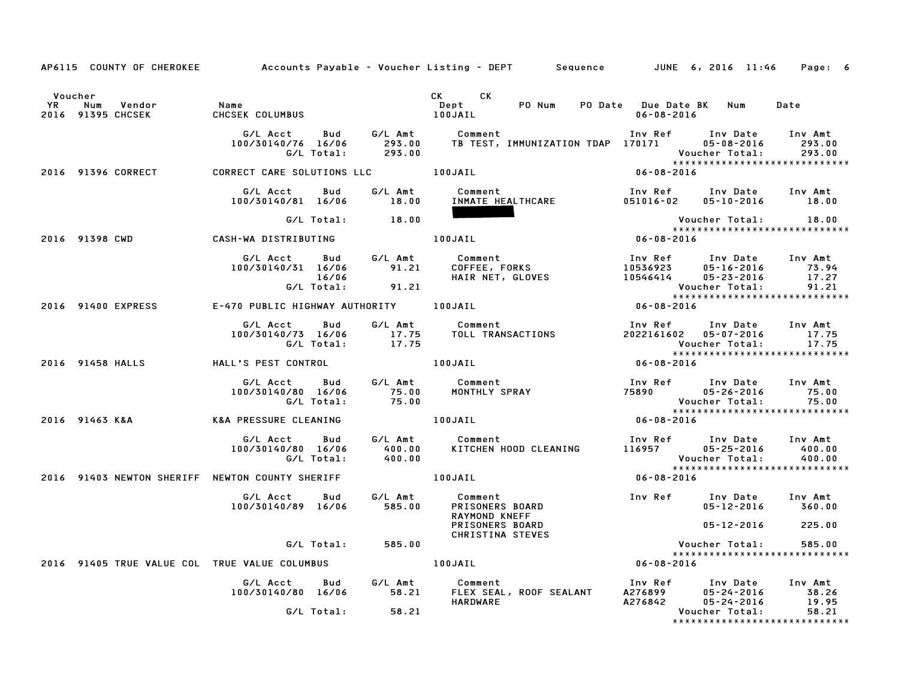|                      |                                                                |                                                                    |                                          |       | AP6115 COUNTY OF CHEROKEE  Accounts Payable – Voucher Listing – DEPT Sequence JUNE 6, 2016 11:46  Page: 6                                                                                                                        |                  |                                                                                                              |                   |
|----------------------|----------------------------------------------------------------|--------------------------------------------------------------------|------------------------------------------|-------|----------------------------------------------------------------------------------------------------------------------------------------------------------------------------------------------------------------------------------|------------------|--------------------------------------------------------------------------------------------------------------|-------------------|
| Voucher<br><b>YR</b> | Vendor<br>Num<br>2016 91395 CHCSEK                             | Name<br>CHCSEK COLUMBUS                                            |                                          |       | CK CK<br>Dept PO Num PO Date Due Date BK Num<br>100JAIL                                                                                                                                                                          | $06 - 08 - 2016$ |                                                                                                              | Date              |
|                      |                                                                | G/L Acct<br>100/30140/76 16/06<br>G/L Total:                       |                                          |       |                                                                                                                                                                                                                                  |                  | Inv Ref      Inv Date     Inv Amt<br>*****************************                                           | 293.00<br>293.00  |
|                      | 2016 91396 CORRECT                                             |                                                                    |                                          |       | CORRECT CARE SOLUTIONS LLC <b>100JAIL</b>                                                                                                                                                                                        | $06 - 08 - 2016$ |                                                                                                              |                   |
|                      |                                                                | G/LAcct Bud G/LAmt<br>100/30140/81 16/06 18.00                     |                                          |       | Comment<br>INMATE HEALTHCARE 051016-02 05-10-2016 18.00                                                                                                                                                                          |                  | Inv Ref Inv Date Inv Amt                                                                                     |                   |
|                      |                                                                |                                                                    | $G/L$ Total: $18.00$                     |       |                                                                                                                                                                                                                                  |                  | Voucher Total: 18.00<br>****************************                                                         |                   |
|                      | 2016 91398 CWD                                                 | CASH-WA DISTRIBUTING                                               |                                          |       | $06 - 08 - 2016$<br>100JAIL                                                                                                                                                                                                      |                  |                                                                                                              |                   |
|                      |                                                                |                                                                    |                                          |       | 5h-wa العالمية المستحدة المستحدة المستحدة المستحدة المستحدة المستحدة المستحدة المستحدة المستحدة المستحدة المست<br>100/30140/31 16/06 91.21 COFFEE, FORKS 10536923 05-16-2016<br>16/06 HAIR NET, GLOVES 10546414 05-23-2016 16/06 |                  | Inv Ref      Inv Date     Inv Amt<br>05-16-2016 73.94                                                        | 17.27<br>91.21    |
|                      | 2016 91400 EXPRESS                                             | E-470 PUBLIC HIGHWAY AUTHORITY 100JAIL                             |                                          |       |                                                                                                                                                                                                                                  |                  |                                                                                                              |                   |
|                      |                                                                | G/L Acct Bud<br>100/30140/73 16/06                                 |                                          |       | cct Bud G/LAmt Comment<br>40/73 16/06      17.75   TOLL TRANSACTIONS<br>G/L Total:       17.75                                                                                                                                   |                  | Inv Ref      Inv Date<br>2022161602 05-07-2016 17.75<br>Voucher Total: 17.75<br>**************************** | Inv Amt           |
|                      | 2016 91458 HALLS                                               | HALL'S PEST CONTROL                                                |                                          |       |                                                                                                                                                                                                                                  |                  |                                                                                                              |                   |
|                      |                                                                | 100/30140/80 16/06 75.00                                           |                                          |       |                                                                                                                                                                                                                                  |                  |                                                                                                              |                   |
|                      | 2016 91463 K&A                                                 | K&A PRESSURE CLEANING                                              |                                          |       |                                                                                                                                                                                                                                  |                  |                                                                                                              |                   |
|                      |                                                                | G/L Acct Bud G/L Amt Comment<br>100/30140/80 16/06                 | 140/80 16/06 400.00<br>G/L Total: 400.00 |       | KITCHEN HOOD CLEANING 116957 05-25-2016                                                                                                                                                                                          |                  | Inv Ref Inv Date Inv Amt                                                                                     | 400.00            |
|                      | 2016 91403 NEWTON SHERIFF NEWTON COUNTY SHERIFF <b>100JAIL</b> |                                                                    |                                          |       |                                                                                                                                                                                                                                  | $06 - 08 - 2016$ |                                                                                                              |                   |
|                      |                                                                | 100/30140/89 16/06 585.00                                          |                                          |       | ON COUNTI STEART<br>G/L Acct Bud G/L Amt Comment<br>585.00 PRISONERS BOARD<br><b>RAYMOND KNEFF</b>                                                                                                                               |                  | Inv Ref Inv Date Inv Amt<br>05-12-2016 360.00                                                                |                   |
|                      |                                                                |                                                                    |                                          |       | PRISONERS BOARD<br>CHRISTINA STEVES                                                                                                                                                                                              |                  | 05-12-2016 225.00                                                                                            |                   |
|                      |                                                                |                                                                    | G/L Total: 585.00                        |       |                                                                                                                                                                                                                                  |                  | Voucher Total:                                                                                               | 585.00            |
|                      | 2016 91405 TRUE VALUE COL TRUE VALUE COLUMBUS                  |                                                                    |                                          |       | 100JAIL                                                                                                                                                                                                                          | $06 - 08 - 2016$ | *****************************                                                                                |                   |
|                      |                                                                | G/L Acct Bud G/L Amt Comment<br>100/30140/80 16/06 58.21 FLEX SEAL |                                          |       |                                                                                                                                                                                                                                  |                  |                                                                                                              | 38.26<br>19.95    |
|                      |                                                                |                                                                    | G/L Total:                               | 58.21 |                                                                                                                                                                                                                                  |                  | Voucher Total:<br>******************************                                                             | $\frac{1}{58.21}$ |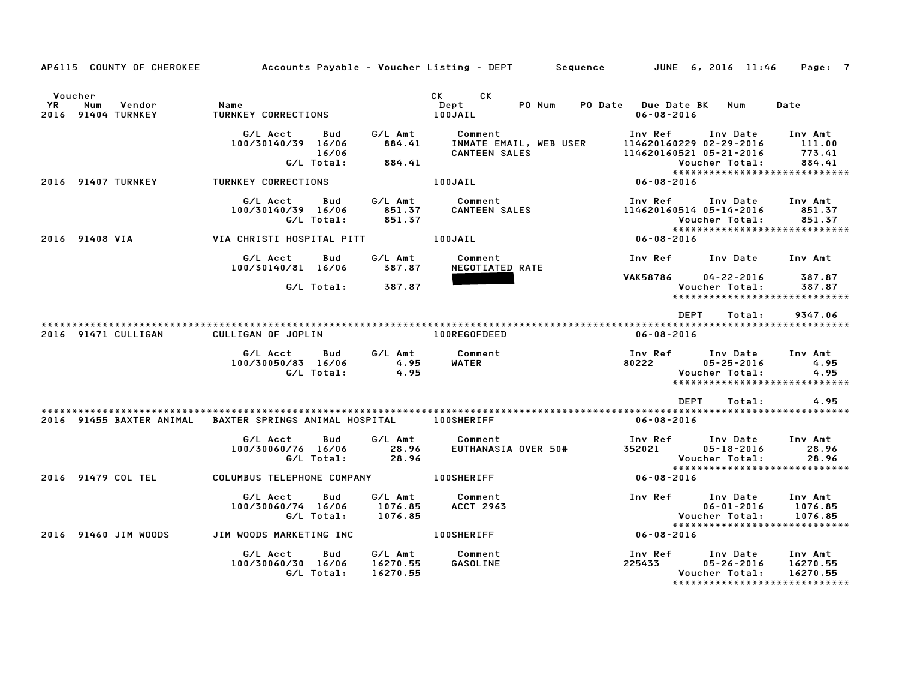|                      | AP6115 COUNTY OF CHEROKEE           |                                                              |                                 | Accounts Payable – Voucher Listing – DEPT       Sequence         JUNE  6, 2016  11:46                                                                                                                                                                             |                                                                                                                              | Page: 7                               |
|----------------------|-------------------------------------|--------------------------------------------------------------|---------------------------------|-------------------------------------------------------------------------------------------------------------------------------------------------------------------------------------------------------------------------------------------------------------------|------------------------------------------------------------------------------------------------------------------------------|---------------------------------------|
| Voucher<br><b>YR</b> | Num<br>Vendor<br>2016 91404 TURNKEY | Name<br><b>TURNKEY CORRECTIONS</b>                           |                                 | CK<br>CK the control of the control of the control of the control of the control of the control of the control of the control of the control of the control of the control of the control of the control of the control of the contr<br>Dept<br>PO Num<br>100JAIL | PO Date Due Date BK<br>Num<br>$06 - 08 - 2016$                                                                               | Date                                  |
|                      |                                     | G/L Acct<br>Bud<br>100/30140/39 16/06<br>16/06<br>G/L Total: | G/L Amt<br>884.41<br>884.41     | Comment<br>INMATE EMAIL, WEB USER<br><b>CANTEEN SALES</b>                                                                                                                                                                                                         | Inv Ref<br>Inv Date<br>114620160229 02-29-2016<br>114620160521 05-21-2016<br>Voucher Total:<br>***************************** | Inv Amt<br>111.00<br>773.41<br>884.41 |
|                      | 2016 91407 TURNKEY                  | TURNKEY CORRECTIONS                                          |                                 | 100JAIL                                                                                                                                                                                                                                                           | $06 - 08 - 2016$                                                                                                             |                                       |
|                      |                                     | G/L Acct<br>Bud<br>100/30140/39 16/06<br>G/L Total:          | G/L Amt<br>851.37<br>851.37     | Comment<br>CANTEEN SALES                                                                                                                                                                                                                                          | Inv Ref<br>Inv Date<br>114620160514 05-14-2016<br>Voucher Total:<br>******************************                           | Inv Amt<br>851.37<br>851.37           |
|                      | 2016 91408 VIA                      | VIA CHRISTI HOSPITAL PITT                                    |                                 | 100JAIL                                                                                                                                                                                                                                                           | 06-08-2016                                                                                                                   |                                       |
|                      |                                     | G/L Acct<br>Bud<br>100/30140/81 16/06                        | G/L Amt<br>387.87               | Comment<br>NEGOTIATED RATE                                                                                                                                                                                                                                        | Inv Ref      Inv Date                                                                                                        | Inv Amt                               |
|                      |                                     | G/L Total:                                                   | 387.87                          |                                                                                                                                                                                                                                                                   | VAK58786 04-22-2016<br>Voucher Total:<br>******************************                                                      | 387.87<br>387.87                      |
|                      |                                     |                                                              |                                 |                                                                                                                                                                                                                                                                   | <b>DEPT</b><br>Total:                                                                                                        | 9347.06                               |
|                      | 2016 91471 CULLIGAN                 | CULLIGAN OF JOPLIN                                           |                                 | 100REGOFDEED                                                                                                                                                                                                                                                      | $06 - 08 - 2016$                                                                                                             |                                       |
|                      |                                     | G/L Acct<br>Bud<br>100/30050/83 16/06<br>G/L Total:          | G/L Amt<br>4.95<br>4.95         | Comment<br>WATER                                                                                                                                                                                                                                                  | Inv Ref<br>Inv Date<br>80222<br>$05 - 25 - 2016$<br>Voucher Total:<br>*****************************                          | Inv Amt<br>4.95<br>4.95               |
|                      |                                     |                                                              |                                 |                                                                                                                                                                                                                                                                   | <b>DEPT</b><br>Total:                                                                                                        | 4.95                                  |
|                      |                                     |                                                              |                                 |                                                                                                                                                                                                                                                                   | $06 - 08 - 2016$                                                                                                             |                                       |
|                      |                                     | G/L Acct<br>Bud<br>100/30060/76 16/06<br>G/L Total:          | G/L Amt<br>28.96<br>28.96       | Comment<br>EUTHANASIA OVER 50#                                                                                                                                                                                                                                    | Inv Ref<br>Inv Date<br>352021<br>05-18-2016<br>Voucher Total:<br>******************************                              | Inv Amt<br>28.96<br>28.96             |
|                      | 2016 91479 COL TEL                  | COLUMBUS TELEPHONE COMPANY 100SHERIFF                        |                                 |                                                                                                                                                                                                                                                                   | 06-08-2016                                                                                                                   |                                       |
|                      |                                     | G/L Acct<br>Bud<br>100/30060/74 16/06<br>G/L Total:          | G/L Amt<br>1076.85<br>1076.85   | Comment<br><b>ACCT 2963</b>                                                                                                                                                                                                                                       | Inv Ref<br>Inv Date<br>$06 - 01 - 2016$<br>Voucher Total:<br>*****************************                                   | Inv Amt<br>1076.85<br>1076.85         |
|                      | 2016 91460 JIM WOODS                | JIM WOODS MARKETING INC                                      |                                 | 100SHERIFF                                                                                                                                                                                                                                                        | $06 - 08 - 2016$                                                                                                             |                                       |
|                      |                                     | G/L Acct<br>Bud<br>100/30060/30 16/06<br>G/L Total:          | G/L Amt<br>16270.55<br>16270.55 | Comment<br>GASOLINE                                                                                                                                                                                                                                               | Inv Ref<br>Inv Date<br>225433<br>$05 - 26 - 2016$<br>Voucher Total:<br>*****************************                         | Inv Amt<br>16270.55<br>16270.55       |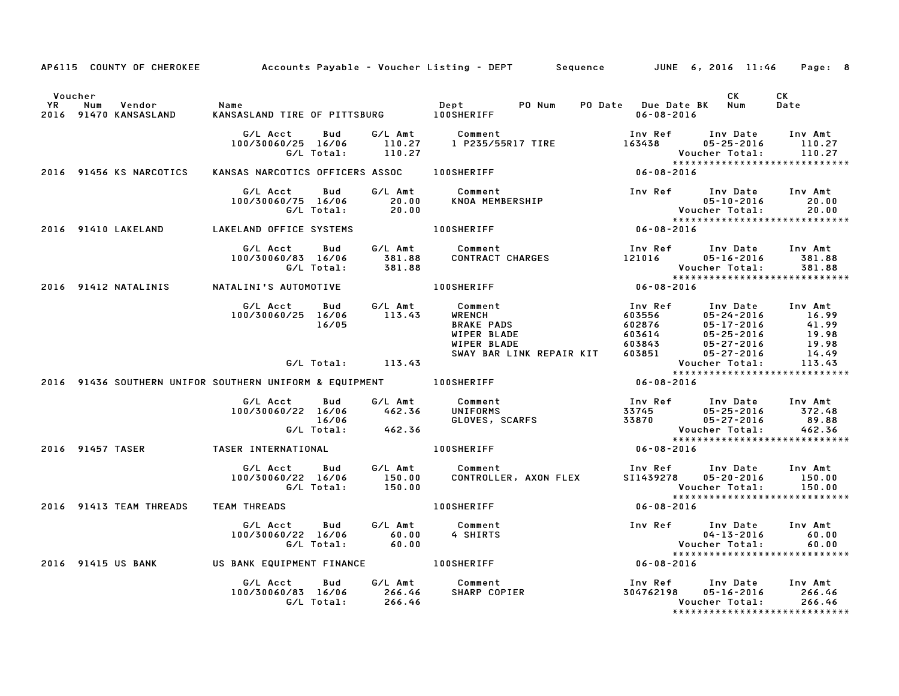|                      |     |                                 | AP6115 COUNTY OF CHEROKEE Accounts Payable – Voucher Listing – DEPT Sequence JUNE 6, 2016 11:46 Page: 8 |                   |                                              |                                                                             |                            |                                                |                                                                                                                             |                                                |                                                                                                                       |  |
|----------------------|-----|---------------------------------|---------------------------------------------------------------------------------------------------------|-------------------|----------------------------------------------|-----------------------------------------------------------------------------|----------------------------|------------------------------------------------|-----------------------------------------------------------------------------------------------------------------------------|------------------------------------------------|-----------------------------------------------------------------------------------------------------------------------|--|
| Voucher<br><b>YR</b> | Num | Vendor<br>2016 91470 KANSASLAND | Name<br>KANSASLAND TIRE OF PITTSBURG 100SHERIFF                                                         |                   |                                              | Dept                                                                        | PO Num                     | PO Date Due Date BK Num                        | $06 - 08 - 2016$                                                                                                            | CK                                             | CK<br>Date                                                                                                            |  |
|                      |     |                                 | G/L Acct<br>100/30060/25 16/06                                                                          | Bud               | $\frac{110.27}{110.27}$<br>G/L Total: 110.27 | G/L Amt Comment                                                             | 1 P235/55R17 TIRE          |                                                | Inv Ref<br>163438                                                                                                           | $05 - 25 - 2016$<br>Voucher Total:             | Inv Date Inv Amt<br>110.27<br>110.27                                                                                  |  |
|                      |     | 2016 91456 KS NARCOTICS         | KANSAS NARCOTICS OFFICERS ASSOC 100SHERIFF                                                              |                   |                                              |                                                                             |                            |                                                | $06 - 08 - 2016$                                                                                                            |                                                | *****************************                                                                                         |  |
|                      |     |                                 | G/L Acct<br>100/30060/75 16/06                                                                          | Bud<br>G/L Total: | G/L Amt<br>20.00<br>20.00                    | Comment                                                                     | Comment<br>KNOA MEMBERSHIP |                                                | $\begin{array}{c} 05-10-2016 \\ \textbf{Voucher Total:} \\ \textbf{***} \textbf{***} \textbf{***} \textbf{***} \end{array}$ |                                                | Inv Ref      Inv Date     Inv Amt<br>20.00<br>20.00<br>*****************************                                  |  |
|                      |     | 2016 91410 LAKELAND             | LAKELAND OFFICE SYSTEMS                                                                                 |                   |                                              | 100SHERIFF                                                                  |                            | $06 - 08 - 2016$                               |                                                                                                                             |                                                |                                                                                                                       |  |
|                      |     |                                 | G/L Acct Bud<br>100/30060/83 16/06                                                                      | G/L Total:        | G/L Amt<br>381.88<br>381.88                  | Comment                                                                     | CONTRACT CHARGES           |                                                | 121016                                                                                                                      | 05-16-2016<br>Voucher Total:                   | Inv Ref Inv Date Inv Amt<br>381.88<br>381.88<br>******************************                                        |  |
|                      |     |                                 | 2016 91412 NATALINIS NATALINI'S AUTOMOTIVE                                                              |                   |                                              | 100SHERIFF                                                                  |                            |                                                | $06 - 08 - 2016$                                                                                                            |                                                |                                                                                                                       |  |
|                      |     |                                 | G/L Acct Bud<br>100/30060/25 16/06                                                                      | 16/05             | G/L Amt<br>113.43                            | Comment<br><b>WRENCH</b><br><b>BRAKE PADS</b><br>WIPER BLADE<br>WIPER BLADE | SWAY BAR LINK REPAIR KIT   | Inv Re<br>603556<br>602876<br>603614<br>603843 | Inv Ref<br>-11<br>403556<br>403556<br>403614<br>405-25-2016<br>403843<br>405-27-2016<br>403851<br>405-27-2016               |                                                | Inv Date Inv Amt<br>16.99<br>$41.99$<br>$19.98$<br>$19.98$<br>$14.49$                                                 |  |
|                      |     |                                 |                                                                                                         |                   | G/L Total: 113.43                            |                                                                             |                            |                                                |                                                                                                                             | Voucher Total:                                 | 113.43                                                                                                                |  |
|                      |     |                                 | 2016 91436 SOUTHERN UNIFOR SOUTHERN UNIFORM & EQUIPMENT 100SHERIFF                                      |                   |                                              |                                                                             |                            |                                                | 06-08-2016                                                                                                                  |                                                |                                                                                                                       |  |
|                      |     |                                 | G/L Acct   Bud   G/L Amt<br>100/30060/22 16/06 462.36                                                   | 16/06             | G/L Total: 462.36                            | Comment                                                                     | GLOVES, SCARFS 33745       |                                                |                                                                                                                             | $05 - 27 - 2016$                               | Inv Ref Inv Date Inv Amt<br>$05 - 25 - 2016$ 372.48<br>89.88<br>Voucher Total: 462.36<br>**************************** |  |
|                      |     |                                 | 2016 91457 TASER TASER INTERNATIONAL                                                                    |                   |                                              | <b>100SHERIFF</b>                                                           |                            |                                                | $06 - 08 - 2016$                                                                                                            |                                                |                                                                                                                       |  |
|                      |     |                                 | G/L Acct<br>100/30060/22 16/06<br>G/L Total:                                                            | <b>Bud</b>        | 150.00<br>150.00                             | G/L Amt Comment<br>Comment<br>CONTROLLER, AXON FLEX                         |                            |                                                | Inv Ref<br>SI1439278                                                                                                        | Inv Date<br>$05 - 20 - 2016$<br>Voucher Total: | Inv Amt<br>150.00<br>150.00                                                                                           |  |
|                      |     | 2016 91413 TEAM THREADS         | TEAM THREADS                                                                                            |                   |                                              | <b>100SHERIFF</b>                                                           |                            |                                                | 06-08-2016                                                                                                                  |                                                | *****************************                                                                                         |  |
|                      |     |                                 | G/L Acct Bud<br>100/30060/22 16/06<br>G/L Total:                                                        |                   | $\begin{array}{c} 60.00 \ 60.00 \end{array}$ | G/L Amt Comment<br>4 SHIRTS                                                 |                            |                                                |                                                                                                                             | $04 - 13 - 2016$<br>Voucher Total:             | Inv Ref Inv Date Inv Amt<br>60.00<br>60.00                                                                            |  |
|                      |     |                                 | 2016 91415 US BANK US BANK EQUIPMENT FINANCE 100SHERIFF                                                 |                   |                                              |                                                                             |                            |                                                | $06 - 08 - 2016$                                                                                                            |                                                |                                                                                                                       |  |
|                      |     |                                 | G/L Acct<br>100/30060/83 16/06 266.46                                                                   | Bud<br>G/L Total: | G/L Amt<br>266.46                            | Comment<br>SHARP COPIER                                                     |                            |                                                | 304762198  05-16-2016                                                                                                       | Voucher Total:                                 | Inv Ref Inv Date Inv Amt<br>266.46<br>266.46<br>*****************************                                         |  |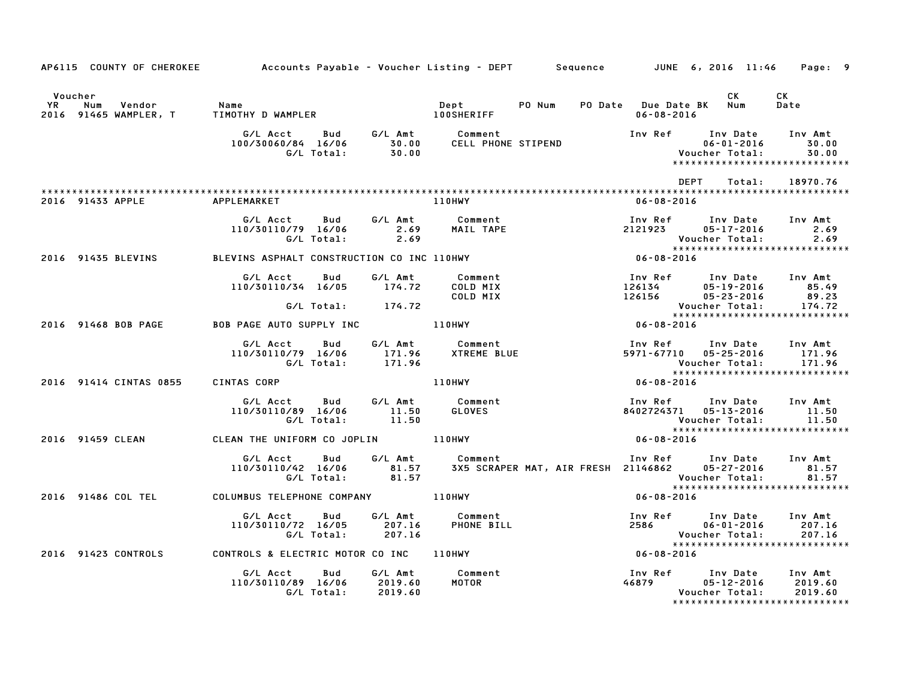|                      |                                        | AP6115 COUNTY OF CHEROKEE Accounts Payable - Voucher Listing - DEPT Sequence JUNE 6, 2016 11:46 Page: 9                                 |                |                                                            |        |                                                                                                                                                                                                                                                                                                                |                                    |                                                           |
|----------------------|----------------------------------------|-----------------------------------------------------------------------------------------------------------------------------------------|----------------|------------------------------------------------------------|--------|----------------------------------------------------------------------------------------------------------------------------------------------------------------------------------------------------------------------------------------------------------------------------------------------------------------|------------------------------------|-----------------------------------------------------------|
| Voucher<br><b>YR</b> | Num<br>Vendor<br>2016 91465 WAMPLER, T | Name                                                                                                                                    |                | Dept                                                       | PO Num | PO Date Due Date BK Num<br>$06 - 08 - 2016$                                                                                                                                                                                                                                                                    | CK .                               | CK<br>Date                                                |
|                      |                                        | G/L Acct       Bud       G/L Amt          Comment<br>100/30060/84 16/06 50.00 CELL PHONE STIPEND<br>G/L Total: 50.00 CELL PHONE STIPEND |                |                                                            |        | Inv Ref Inv Date                                                                                                                                                                                                                                                                                               | $06 - 01 - 2016$<br>Voucher Total: | Inv Amt<br>30.00<br>30.00                                 |
|                      |                                        |                                                                                                                                         |                |                                                            |        | DEPT                                                                                                                                                                                                                                                                                                           | Total:                             | 18970.76                                                  |
|                      | 2016 91433 APPLE                       | APPLEMARKET                                                                                                                             |                | <b>110HWY</b>                                              |        | $06 - 08 - 2016$                                                                                                                                                                                                                                                                                               |                                    |                                                           |
|                      |                                        | G/L Acct Bud<br>110/30110/79 16/06<br>G/L Total:                                                                                        | 2.69<br>2.69   | G/L Amt Comment<br>MAIL TAPE                               |        | Inv Ref       Inv Date<br>2121923       05–17–2016                                                                                                                                                                                                                                                             | Voucher Total:                     | Inv Amt<br>2.69<br>2.69                                   |
|                      | 2016 91435 BLEVINS                     | BLEVINS ASPHALT CONSTRUCTION CO INC 110HWY                                                                                              |                |                                                            |        | $06 - 08 - 2016$                                                                                                                                                                                                                                                                                               |                                    |                                                           |
|                      |                                        | G/L Acct Bud<br>110/30110/34 16/05 174.72                                                                                               | G⁄L Amt        | Comment<br>COLD MIX<br>COLD MIX                            |        | Inv Ref Inv Date Inv Amt<br>$\begin{array}{ccccccccc}\n1111 & R21 & 111 & 2111 & 3111 & 3111 & 3111 & 3111 & 3111 & 3111 & 3111 & 3111 & 3111 & 3111 & 3111 & 3111 & 3111 & 3111 & 3111 & 3111 & 3111 & 3111 & 3111 & 3111 & 3111 & 3111 & 3111 & 3111 & 3111 & 3111 & 3111 & 3111 & 3111 & 3111 & 3111 & 311$ |                                    |                                                           |
|                      |                                        | G/L Total: 174.72                                                                                                                       |                |                                                            |        |                                                                                                                                                                                                                                                                                                                |                                    | Voucher Total: 174.72<br>******************************** |
|                      | 2016 91468 BOB PAGE                    | BOB PAGE AUTO SUPPLY INC 110HWY                                                                                                         |                |                                                            |        |                                                                                                                                                                                                                                                                                                                |                                    |                                                           |
|                      |                                        | 110/30110/79 16/06 171.96 XTREME BLUE<br>G/L Total: 171.96 XTREME BLUE<br>G/L Total: 171.96<br>110/30110/79 16/06                       |                |                                                            |        | Inv Ref      Inv Date     Inv Amt<br>5971-67710 05-25-2016                                                                                                                                                                                                                                                     |                                    | 171.96                                                    |
|                      | 2016 91414 CINTAS 0855                 | CINTAS CORP                                                                                                                             |                | 110HWY                                                     |        | $06 - 08 - 2016$                                                                                                                                                                                                                                                                                               |                                    |                                                           |
|                      |                                        | G/L Acct Bud<br>110/30110/89 16/06<br>G/L Total:                                                                                        | 11.50<br>11.50 | G/L Amt Comment<br>GLOVES                                  |        | Inv Ref<br>8402724371 05-13-2016                                                                                                                                                                                                                                                                               | Inv Date Inv Amt<br>Voucher Total: | 11.50<br>11.50                                            |
|                      | 2016 91459 CLEAN                       | CLEAN THE UNIFORM CO JOPLIN 110HWY                                                                                                      |                |                                                            |        | $06 - 08 - 2016$                                                                                                                                                                                                                                                                                               |                                    | *****************************                             |
|                      |                                        | G/L Acct<br>Bud<br>110/30110/42 16/06<br>G/L Total:                                                                                     |                | G/L Amt         Comment<br>81.57       3X5  SCRAF<br>81.57 |        |                                                                                                                                                                                                                                                                                                                | Voucher Total:                     | Inv Amt<br>81.57<br>81.57                                 |
|                      | 2016 91486 COL TEL                     | COLUMBUS TELEPHONE COMPANY 110HWY                                                                                                       |                |                                                            |        | 06-08-2016                                                                                                                                                                                                                                                                                                     |                                    | *****************************                             |
|                      |                                        | G/L Acct Bud<br>110/30110/72 16/05 207.16                                                                                               | G⁄L Amt        | Comment<br>PHONE BILL                                      |        | Inv Ref      Inv Date     Inv Amt<br>$2586$ $06-01-2016$                                                                                                                                                                                                                                                       | Voucher Total:                     | 207.16<br>207.16                                          |
|                      | 2016 91423 CONTROLS                    | CONTROLS & ELECTRIC MOTOR CO INC 110HWY                                                                                                 |                |                                                            |        | 06-08-2016                                                                                                                                                                                                                                                                                                     |                                    |                                                           |
|                      |                                        | G/L Acct Bud<br>110/30110/89 16/06 2019.60<br>G/L Total: 2019.60                                                                        | G/L Amt        | Comment<br>MOTOR                                           |        | Inv Ref      Inv Date     Inv Amt<br>46879            05–12–2016       2019.60                                                                                                                                                                                                                                 | Voucher Total:                     | 2019.60<br>2019.60                                        |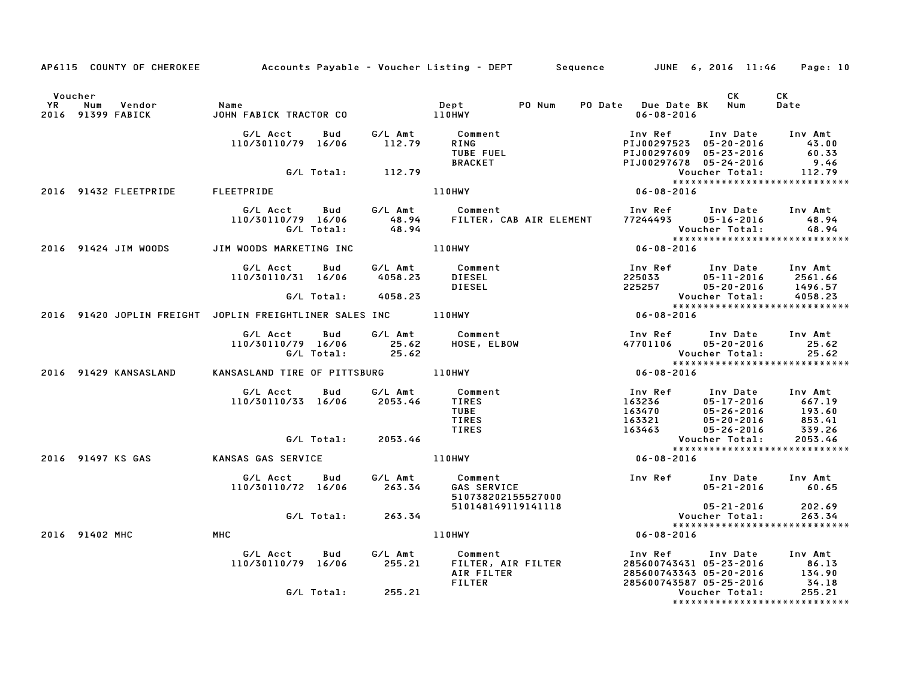|                      |                          |                       | AP6115 COUNTY OF CHEROKEE         Accounts Payable – Voucher Listing – DEPT     Sequence     JUNE 6, 2016 11:46 |                          |                     |                                                                      |        |                                                                                                                |                                                                        | Page: 10                                                      |
|----------------------|--------------------------|-----------------------|-----------------------------------------------------------------------------------------------------------------|--------------------------|---------------------|----------------------------------------------------------------------|--------|----------------------------------------------------------------------------------------------------------------|------------------------------------------------------------------------|---------------------------------------------------------------|
| Voucher<br><b>YR</b> | Num<br>2016 91399 FABICK | Vendor                | Name<br>JOHN FABICK TRACTOR CO                                                                                  |                          | Dept<br>110HWY      | Dept                                                                 | PO Num | PO Date Due Date BK Num<br>$06 - 08 - 2016$                                                                    | CK                                                                     | CK<br>Date                                                    |
|                      |                          |                       | G/L Acct<br>110/30110/79 16/06                                                                                  | Bud                      | 112.79              | G/L Amt Comment<br><b>RING</b><br><b>TUBE FUEL</b><br><b>BRACKET</b> |        | Inv Ref<br>PIJ00297523 05-20-2016<br>PIJ00297609 05-23-2016<br>PIJ00297678 05-24-2016                          | Inv Date                                                               | Inv Amt<br>43.00<br>60.33<br>9.46                             |
|                      |                          |                       |                                                                                                                 |                          | G/L Total: 112.79   |                                                                      |        |                                                                                                                | Voucher Total:                                                         | 112.79                                                        |
|                      |                          | 2016 91432 FLEETPRIDE | FLEETPRIDE                                                                                                      |                          |                     | <b>110HWY</b>                                                        |        | $06 - 08 - 2016$                                                                                               |                                                                        | ******************************                                |
|                      |                          |                       | G/L Acct   Bud   G/L Amt<br>110/30110/79 16/06<br>G/L Total:                                                    |                          | 48.94               | Comment<br>48.94 FILTER, CAB AIR ELEMENT                             |        | Inv Ref Inv Date Inv Amt<br>77244493 05-16-2016                                                                |                                                                        | 48.94<br>Voucher Total: 48.94<br>**************************** |
|                      |                          | 2016 91424 JIM WOODS  | JIM WOODS MARKETING INC                                                                                         |                          |                     | <b>110HWY</b>                                                        |        | $06 - 08 - 2016$                                                                                               |                                                                        |                                                               |
|                      |                          |                       | G/L Acct<br>110/30110/31 16/06                                                                                  | Bud                      | 4058.23             | G/L Amt Comment<br>DIESEL<br>DIESEL                                  |        | Inv Ref      Inv Date     Inv Amt<br>225033 05-11-2016<br>225257 05-20-2016                                    | 05-11-2016 2561.66                                                     | 1496.57                                                       |
|                      |                          |                       |                                                                                                                 |                          | G/L Total: 4058.23  |                                                                      |        |                                                                                                                | Voucher Total:                                                         | 4058.23                                                       |
|                      |                          |                       | 2016 91420 JOPLIN FREIGHT JOPLIN FREIGHTLINER SALES INC 110HWY                                                  |                          |                     |                                                                      |        | $06 - 08 - 2016$                                                                                               |                                                                        |                                                               |
|                      |                          |                       |                                                                                                                 |                          |                     |                                                                      |        |                                                                                                                |                                                                        |                                                               |
|                      |                          |                       | G/L Acct<br>110/30110/79 16/06 25.62                                                                            | <b>Bud</b><br>G/L Total: | 25.62               | G/L Amt Comment<br>HOSE, ELBOW                                       |        | Inv Ref      Inv Date     Inv Amt<br>47701106                                                                  | 05-20-2016<br>Voucher Total:                                           | 25.62<br>25.62                                                |
|                      |                          | 2016 91429 KANSASLAND | KANSASLAND TIRE OF PITTSBURG 110HWY                                                                             |                          |                     |                                                                      |        | $06 - 08 - 2016$                                                                                               |                                                                        | *****************************                                 |
|                      |                          |                       | G/L Acct<br>110/30110/33 16/06 2053.46                                                                          | Bud                      | G/L Amt             | Comment<br>TIRES<br>TUBE<br>TIRES<br>TIRES                           |        | Inv Ref Inv Date Inv Amt<br>163236<br>163470<br>163321<br>163463                                               | 05-17-2016<br>$05 - 26 - 2016$<br>$05 - 20 - 2016$<br>$05 - 26 - 2016$ | 667.19<br>193.60<br>853.41<br>339.26                          |
|                      |                          |                       |                                                                                                                 |                          | G/L Total: 2053.46  |                                                                      |        |                                                                                                                | Voucher Total:                                                         | 2053.46                                                       |
|                      |                          |                       |                                                                                                                 |                          |                     |                                                                      |        |                                                                                                                |                                                                        | *****************************                                 |
|                      | 2016 91497 KS GAS        |                       | KANSAS GAS SERVICE                                                                                              |                          |                     | <b>110HWY</b>                                                        |        | $06 - 08 - 2016$                                                                                               |                                                                        |                                                               |
|                      |                          |                       | G/L Acct<br>110/30110/72 16/06                                                                                  | <b>Bud</b>               | G/L Amt<br>263.34   | <b>Comment</b><br><b>GAS SERVICE</b><br>510738202155527000           |        | Inv Ref Inv Date Inv Amt                                                                                       | $05 - 21 - 2016$ 60.65                                                 |                                                               |
|                      |                          |                       |                                                                                                                 |                          |                     | 510148149119141118                                                   |        |                                                                                                                | $05 - 21 - 2016$                                                       | 202.69                                                        |
|                      |                          |                       |                                                                                                                 |                          | $G/L$ Total: 263.34 |                                                                      |        |                                                                                                                | Voucher Total:                                                         | 263.34<br>*****************************                       |
|                      | 2016 91402 MHC           |                       | MHC                                                                                                             |                          |                     | 110HWY                                                               |        | $06 - 08 - 2016$                                                                                               |                                                                        |                                                               |
|                      |                          |                       | G/L Acct<br>110/30110/79 16/06                                                                                  | Bud                      | G/L Amt<br>255.21   | Comment<br>FILTER, AIR FILTER<br>AIR FILTER                          |        | Inv Ref Inv Date Inv Amt<br>100 Ref 100 100<br>285600743431 05-23-2016 86.13<br>285600743343 05-20-2016 134.90 |                                                                        |                                                               |
|                      |                          |                       |                                                                                                                 | G/L Total:               | 255.21              | FILTER                                                               |        | 285600743587 05-25-2016                                                                                        | Voucher Total:                                                         | 34.18<br>255.21<br>*****************************              |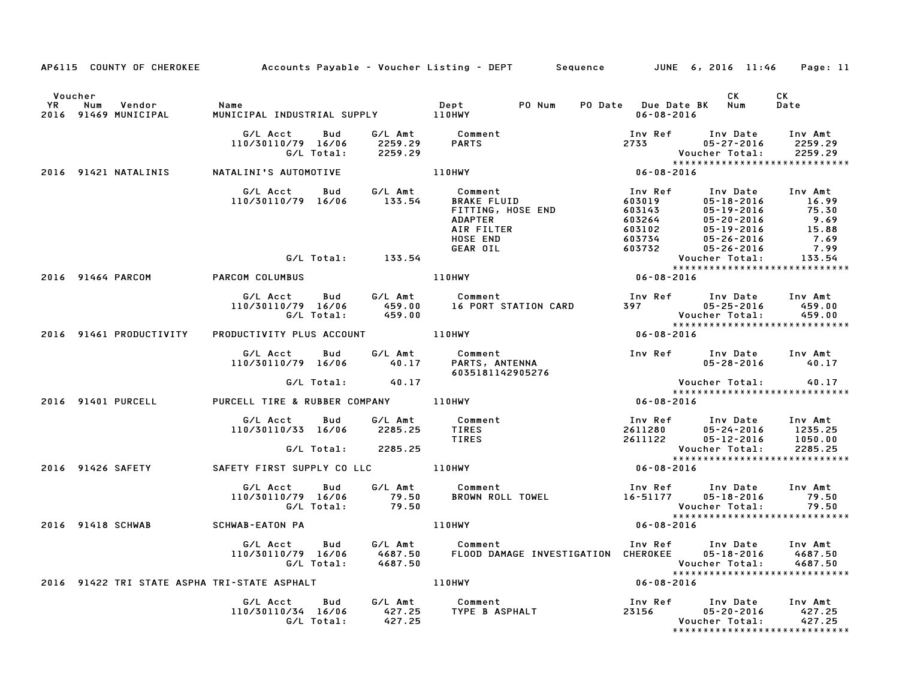|    |                |                                |                                                              |            |                          | AP6115 COUNTY OF CHEROKEE Accounts Payable - Voucher Listing - DEPT Sequence JUNE 6, 2016 11:46 Page: 11                                                                             |                  |                                                                                                                  |                             |
|----|----------------|--------------------------------|--------------------------------------------------------------|------------|--------------------------|--------------------------------------------------------------------------------------------------------------------------------------------------------------------------------------|------------------|------------------------------------------------------------------------------------------------------------------|-----------------------------|
| YR | Voucher<br>Num | Vendor<br>2016 91469 MUNICIPAL | Name<br>MUNICIPAL INDUSTRIAL SUPPLY 110HWY                   |            |                          | Dept PO Num                                                                                                                                                                          | 06-08-2016       | CK .<br>PO Date Due Date BK Num                                                                                  | <b>CK</b><br>Date           |
|    |                |                                | G/L Acct<br>110/30110/79 16/06                               | Bud        | G/L Total:       2259.29 | G/L Amt          Comment<br>2259.29        PARTS<br><b>PARTS</b>                                                                                                                     |                  | Inv Ref Inv Date Inv Amt<br>2733 05-27-2016 2259.29<br>Voucher Total: 2259.29<br>******************************* |                             |
|    |                |                                |                                                              |            |                          | 2016 91421 NATALINIS NATALINI'S AUTOMOTIVE THE RESERVENCE RELATION OF THE RESERVENCE OF THE RELATION                                                                                 | $06 - 08 - 2016$ |                                                                                                                  |                             |
|    |                |                                | G/LAcct Bud G/LAmt<br>110/30110/79 16/06 133.54              |            |                          | Comment<br><b>BRAKE FLUID</b><br>BRAKE FLUID<br>FITTING, HOSE END<br>ADAPTER____<br>ADAPTER<br>AIR FILTER<br>AIR FILTER<br><b>HOSE END</b><br>GEAR OIL                               |                  | Inv Ref      Inv Date     Inv Amt                                                                                |                             |
|    |                |                                |                                                              |            | G/L Total: 133.54        |                                                                                                                                                                                      |                  | Voucher Total:<br>*****************************                                                                  | 133.54                      |
|    |                | 2016 91464 PARCOM              | PARCOM COLUMBUS                                              |            |                          | 110HWY                                                                                                                                                                               | $06 - 08 - 2016$ |                                                                                                                  |                             |
|    |                |                                |                                                              |            |                          | G/L Acct Bud G/L Amt Comment<br>110/30110/79 $16/06$ 459.00 16 PORT STATION CARD<br>G/L Total: 459.00                                                                                |                  | Inv Ref Inv Date<br>397 05-25-2016 1.000<br>Voucher Total: 459.00<br>********************************            | Inv Amt                     |
|    |                |                                |                                                              |            |                          |                                                                                                                                                                                      | $06 - 08 - 2016$ |                                                                                                                  |                             |
|    |                |                                |                                                              |            |                          | 6035181142905276                                                                                                                                                                     |                  | Inv Ref      Inv Date<br>05-28-2016<br>05-28-2016 40.17                                                          | Inv Amt                     |
|    |                |                                |                                                              |            | G/L Total: 40.17         |                                                                                                                                                                                      |                  | Voucher Total:                                                                                                   | 40.17                       |
|    |                | 2016 91401 PURCELL             | PURCELL TIRE & RUBBER COMPANY 110HWY                         |            |                          | $06 - 08 - 2016$                                                                                                                                                                     |                  |                                                                                                                  |                             |
|    |                |                                | 110/30110/33 16/06 2285.25                                   |            |                          | 1nv Ref       Inv Date     Inv Amt<br>2611280         05–24–2016       1235.25<br>2611122           05–12–2016      1050.00<br>G/L Acct Bud G/L Amt Comment<br><b>TIRES</b><br>TIRES |                  |                                                                                                                  |                             |
|    |                |                                |                                                              | G/L Total: | 2285.25                  |                                                                                                                                                                                      |                  | Voucher Total:<br>Voucher Total: 2285.25<br>*****************************<br>06-08-2016                          | 2285.25                     |
|    |                |                                | 2016 91426 SAFETY SAFETY FIRST SUPPLY CO LLC 110HWY          |            |                          |                                                                                                                                                                                      |                  |                                                                                                                  |                             |
|    |                |                                |                                                              |            |                          |                                                                                                                                                                                      |                  | Voucher Total: 79.50<br>****************************                                                             |                             |
|    |                | 2016 91418 SCHWAB              | SCHWAB-EATON PA                                              |            |                          | <b>110HWY</b>                                                                                                                                                                        | $06 - 08 - 2016$ |                                                                                                                  |                             |
|    |                |                                | G/L Acct<br>110/30110/79 16/06 4687.50<br>G/L Total: 4687.50 |            |                          | Bud G/L Amt Comment<br>FLOOD DAMAGE INVESTIGATION CHEROKEE 05-18-2016                                                                                                                |                  | Inv Ref Inv Date Inv Amt<br>Voucher Total:<br>*****************************                                      | 4687.50<br>4687.50          |
|    |                |                                | 2016 91422 TRI STATE ASPHA TRI-STATE ASPHALT                 |            |                          | $06 - 08 - 2016$<br>110HWY                                                                                                                                                           |                  |                                                                                                                  |                             |
|    |                |                                |                                                              |            |                          | G/L Acct Bud G/L Amt Comment<br>110/30110/34 16/06 427.25 TYPE B ASPHALT<br>G/L Total: 427.25 TYPE B ASPHALT                                                                         |                  | Inv Ref Inv Date<br>23156 05-20-2016<br>Voucher Total:                                                           | Inv Amt<br>427.25<br>427.25 |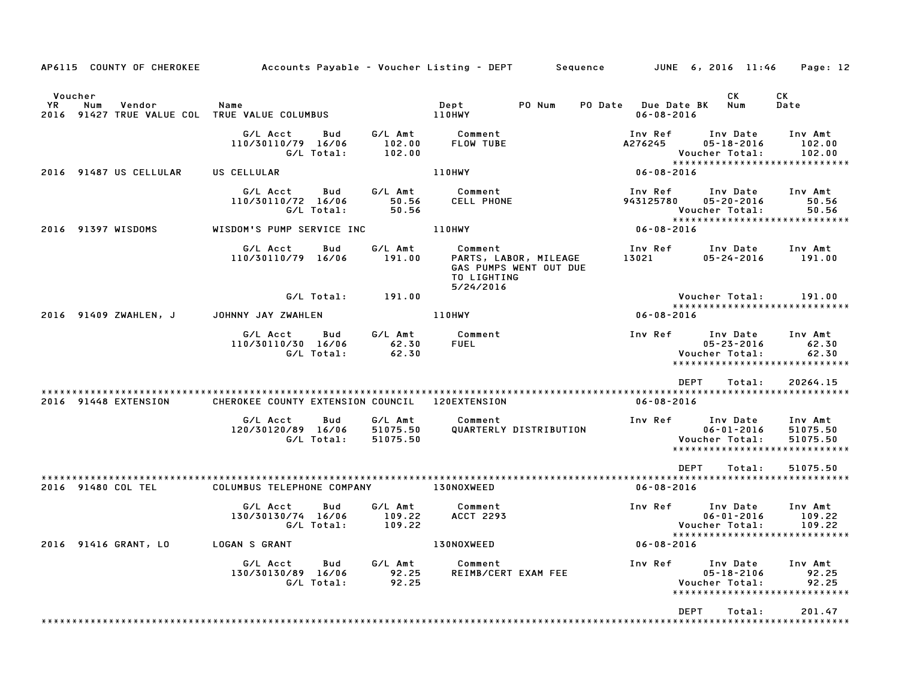| AP6115 COUNTY OF CHEROKEE                     | Accounts Payable – Voucher Listing – DEPT         Sequence |                                 |                                                                                        |                                         | JUNE 6, 2016 11:46                                                               | Page: 12                                          |
|-----------------------------------------------|------------------------------------------------------------|---------------------------------|----------------------------------------------------------------------------------------|-----------------------------------------|----------------------------------------------------------------------------------|---------------------------------------------------|
| Voucher<br><b>YR</b><br>Num<br>Vendor<br>2016 | Name<br>91427 TRUE VALUE COL TRUE VALUE COLUMBUS           |                                 | PO Num<br>Dept<br>110HWY                                                               | PO Date Due Date BK<br>$06 - 08 - 2016$ | CK<br>Num                                                                        | CK.<br>Date                                       |
|                                               | G/L Acct<br>Bud<br>110/30110/79 16/06<br>G/L Total:        | G/L Amt<br>102.00<br>102.00     | Comment<br>FLOW TUBE                                                                   | Inv Ref<br>A276245                      | Inv Date<br>$05 - 18 - 2016$<br>Voucher Total:<br>*****************************  | Inv Amt<br>102.00<br>102.00                       |
| 2016 91487 US CELLULAR                        | US CELLULAR                                                |                                 | 110HWY                                                                                 | $06 - 08 - 2016$                        |                                                                                  |                                                   |
|                                               | G/L Acct<br>Bud<br>110/30110/72 16/06<br>G/L Total:        | G/L Amt<br>50.56<br>50.56       | Comment<br>CELL PHONE                                                                  | Inv Ref<br>943125780                    | Inv Date<br>$05 - 20 - 2016$<br>Voucher Total:<br>*****************************  | Inv Amt<br>50.56<br>50.56                         |
| 2016 91397 WISDOMS                            | WISDOM'S PUMP SERVICE INC                                  |                                 | <b>110HWY</b>                                                                          | 06-08-2016                              |                                                                                  |                                                   |
|                                               | G/L Acct<br>Bud<br>110/30110/79 16/06                      | G/L Amt<br>191.00               | Comment<br>PARTS, LABOR, MILEAGE<br>GAS PUMPS WENT OUT DUE<br>TO LIGHTING<br>5/24/2016 | Inv Ref<br>13021                        | Inv Date<br>$05 - 24 - 2016$                                                     | Inv Amt<br>191.00                                 |
|                                               | G/L Total:                                                 | 191.00                          |                                                                                        |                                         | Voucher Total:                                                                   | 191.00                                            |
| 2016 91409 ZWAHLEN, J                         | JOHNNY JAY ZWAHLEN                                         |                                 | 110HWY                                                                                 | $06 - 08 - 2016$                        | *****************************                                                    |                                                   |
|                                               | G/L Acct<br>Bud<br>110/30110/30 16/06<br>G/L Total:        | G/L Amt<br>62.30<br>62.30       | Comment<br><b>FUEL</b>                                                                 | Inv Ref                                 | Inv Date<br>$05 - 23 - 2016$<br>Voucher Total:<br>****************************** | Inv Amt<br>62.30<br>62.30                         |
|                                               |                                                            |                                 |                                                                                        |                                         | <b>DEPT</b><br>Total:                                                            | 20264.15                                          |
| 2016 91448 EXTENSION                          | CHEROKEE COUNTY EXTENSION COUNCIL                          |                                 | <b>120EXTENSION</b>                                                                    | $06 - 08 - 2016$                        |                                                                                  |                                                   |
|                                               | G/L Acct<br>Bud<br>120/30120/89 16/06<br>G/L Total:        | G/L Amt<br>51075.50<br>51075.50 | Comment<br>QUARTERLY DISTRIBUTION                                                      | Inv Ref                                 | Inv Date<br>$06 - 01 - 2016$<br>Voucher Total:<br>****************************** | Inv Amt<br>51075.50<br>51075.50                   |
|                                               |                                                            |                                 |                                                                                        |                                         | <b>DEPT</b><br>Total:                                                            | 51075.50                                          |
| 2016 91480 COL TEL                            | COLUMBUS TELEPHONE COMPANY                                 |                                 | 130NOXWEED                                                                             | $06 - 08 - 2016$                        |                                                                                  |                                                   |
|                                               | G/L Acct<br>Bud<br>130/30130/74 16/06<br>G/L Total:        | G/L Amt<br>109.22<br>109.22     | Comment<br><b>ACCT 2293</b>                                                            | Inv Ref                                 | Inv Date<br>$06 - 01 - 2016$<br>Voucher Total:<br>****************************** | Inv Amt<br>109.22<br>109.22                       |
| 2016 91416 GRANT, LO                          | <b>LOGAN S GRANT</b>                                       |                                 | 130NOXWEED                                                                             | $06 - 08 - 2016$                        |                                                                                  |                                                   |
|                                               | G/L Acct<br>Bud<br>130/30130/89 16/06<br>G/L Total:        | G/L Amt<br>92.25<br>92.25       | Comment<br>REIMB/CERT EXAM FEE                                                         | Inv Ref                                 | Inv Date<br>$05 - 18 - 2106$<br>Voucher Total:<br>*****************************  | Inv Amt<br>92.25<br>92.25                         |
|                                               |                                                            |                                 |                                                                                        |                                         | <b>DEPT</b><br>Total:                                                            | 201.47<br>* * * * * * * * * * * * * * * * * * * * |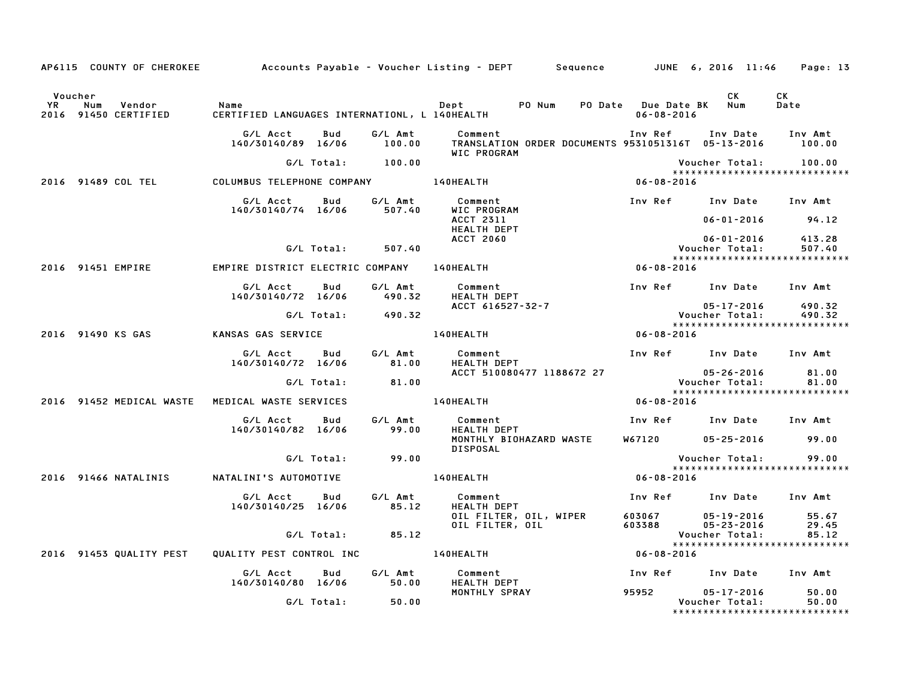|               |                                                                              |                                                       |            |                       | AP6115 COUNTY OF CHEROKEE Accounts Payable - Voucher Listing - DEPT Sequence JUNE 6, 2016 11:46 Page: 13 |                  |                                                               |                   |
|---------------|------------------------------------------------------------------------------|-------------------------------------------------------|------------|-----------------------|----------------------------------------------------------------------------------------------------------|------------------|---------------------------------------------------------------|-------------------|
| Voucher<br>YR | Num<br>Vendor<br>2016 91450 CERTIFIED                                        | Name<br>CERTIFIED LANGUAGES INTERNATIONL, L 140HEALTH |            |                       |                                                                                                          | $06 - 08 - 2016$ | CK                                                            | <b>CK</b><br>Date |
|               |                                                                              | G/L Acct<br>140/30140/89 16/06                        | Bud        | G/L Amt<br>100.00     | Comment<br>TRANSLATION ORDER DOCUMENTS 9531051316T 05-13-2016 100.00<br>WIC PROGRAM                      | Inv Ref          | Inv Date Inv Amt                                              |                   |
|               |                                                                              |                                                       |            | $G/L$ Total: $100.00$ |                                                                                                          |                  | Voucher Total: 100.00<br>*****************************        |                   |
|               | 2016 91489 COL TEL           COLUMBUS TELEPHONE COMPANY            140HEALTH |                                                       |            |                       |                                                                                                          | $06 - 08 - 2016$ |                                                               |                   |
|               |                                                                              | G/L Acct Bud<br>140/30140/74 16/06                    |            | 507.40                | G/L Amt Comment<br>WIC PROGRAM                                                                           |                  | Inv Ref Inv Date Inv Amt                                      |                   |
|               |                                                                              |                                                       |            |                       | ACCT 2311<br>HEALTH DEPT                                                                                 |                  | $06 - 01 - 2016$ 94.12                                        |                   |
|               |                                                                              |                                                       |            | G/L Total: 507.40     | <b>ACCT 2060</b>                                                                                         |                  | $06 - 01 - 2016$ 413.28<br>Voucher Total:                     | 507.40            |
|               | 2016 91451 EMPIRE                                                            |                                                       |            |                       | EMPIRE DISTRICT ELECTRIC COMPANY 140HEALTH                                                               | $06 - 08 - 2016$ | *****************************                                 |                   |
|               |                                                                              |                                                       |            |                       |                                                                                                          |                  |                                                               |                   |
|               |                                                                              | G/L Acct   Bud   G/L Amt<br>140/30140/72 16/06        |            | 490.32                | Comment<br>HEALTH DEPT                                                                                   |                  | Inv Ref Inv Date Inv Amt                                      |                   |
|               |                                                                              |                                                       |            | G/L Total: 490.32     | ACCT 616527-32-7                                                                                         |                  | 05-17-2016<br>Voucher Total:                                  | 490.32<br>490.32  |
|               |                                                                              |                                                       |            |                       |                                                                                                          |                  | *****************************                                 |                   |
|               | 2016 91490 KS GAS                                                            | KANSAS GAS SERVICE                                    |            |                       | 140HEALTH                                                                                                | $06 - 08 - 2016$ |                                                               |                   |
|               |                                                                              | G/L Acct Bud<br>140/30140/72 16/06                    |            | 81.00                 | G/L Amt Comment<br>HEALTH DEPT                                                                           |                  | Inv Ref Inv Date Inv Amt                                      |                   |
|               |                                                                              |                                                       | G/L Total: | 81.00                 | ACCT 510080477 1188672 27                                                                                |                  | 05-26-2016<br>Voucher Total:                                  | 81.00<br>81.00    |
|               | 2016 91452 MEDICAL WASTE MEDICAL WASTE SERVICES                              |                                                       |            |                       | 140HEALTH                                                                                                | $06 - 08 - 2016$ | ******************************                                |                   |
|               |                                                                              |                                                       |            |                       |                                                                                                          |                  |                                                               |                   |
|               |                                                                              | G/L Acct Bud<br>140/30140/82 16/06                    |            | G/L Amt<br>99.00      | Comment (COMMENT) inv Ref (COMMENT) Inv Date (Inv Amt)<br>HEALTH DEPT<br>Comment                         |                  |                                                               |                   |
|               |                                                                              |                                                       |            |                       | MONTHLY BIOHAZARD WASTE<br>DISPOSAL                                                                      |                  | W67120 05-25-2016 99.00                                       |                   |
|               |                                                                              |                                                       | G/L Total: | 99.00                 |                                                                                                          |                  | Voucher Total: 99.00<br>*****************************         |                   |
|               | 2016 91466 NATALINIS                                                         | NATALINI'S AUTOMOTIVE                                 |            |                       | <b>140HEALTH</b>                                                                                         | 06-08-2016       |                                                               |                   |
|               |                                                                              | G/L Acct Bud<br>140/30140/25 16/06                    |            | G/L Amt<br>85.12      | Comment<br>________<br>HEALTH DEPT<br>OTL FILE                                                           |                  | Inv Ref     Inv Date    Inv Amt                               |                   |
|               |                                                                              |                                                       |            |                       | OIL FILTER, OIL, WIPER<br>OIL FILTER, OIL                                                                |                  | 603067 05-19-2016                                             | 55.67             |
|               |                                                                              |                                                       |            | $G/L$ Total: $85.12$  |                                                                                                          | 603388           | 05-23-2016<br>Voucher Total:                                  | 29.45<br>85.12    |
|               | 2016 91453 QUALITY PEST                                                      | QUALITY PEST CONTROL INC                              |            |                       | 140HEALTH                                                                                                | $06 - 08 - 2016$ | *****************************                                 |                   |
|               |                                                                              |                                                       |            |                       |                                                                                                          |                  |                                                               |                   |
|               |                                                                              | G/L Acct<br>140/30140/80 16/06 50.00                  | Bud        |                       | G/L Amt Comment<br><b>HEALTH DEPT</b>                                                                    |                  | Inv Ref      Inv Date     Inv Amt                             |                   |
|               |                                                                              |                                                       | G/L Total: | 50.00                 | MONTHLY SPRAY                                                                                            | 95952            | 05-17-2016<br>Voucher Total:<br>***************************** | 50.00<br>50.00    |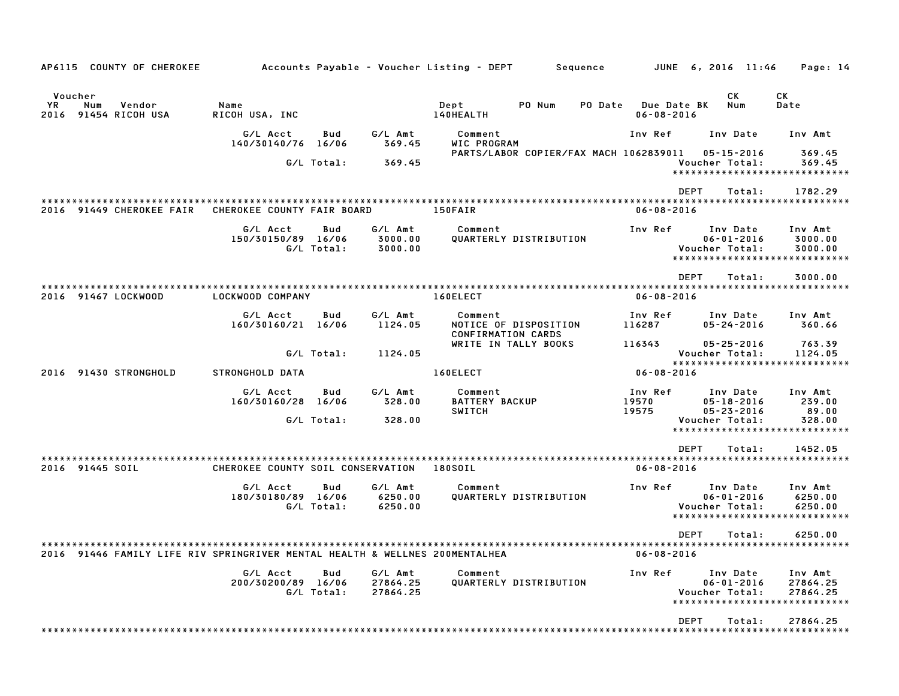| AP6115 COUNTY OF CHEROKEE                               | Accounts Payable – Voucher Listing – DEPT         Sequence |                   |                                 |                                                   |                                        |                                         | JUNE 6, 2016 11:46                                                               | Page: 14                        |
|---------------------------------------------------------|------------------------------------------------------------|-------------------|---------------------------------|---------------------------------------------------|----------------------------------------|-----------------------------------------|----------------------------------------------------------------------------------|---------------------------------|
| Voucher<br>YR.<br>Num<br>Vendor<br>2016 91454 RICOH USA | Name<br>RICOH USA, INC                                     |                   |                                 | Dept<br>140HEALTH                                 | PO Num                                 | PO Date Due Date BK<br>$06 - 08 - 2016$ | CK<br>Num                                                                        | СK<br>Date                      |
|                                                         | G/L Acct<br>140/30140/76 16/06                             | Bud               | G/L Amt<br>369.45               | Comment<br>WIC PROGRAM                            |                                        | Inv Ref                                 | Inv Date                                                                         | Inv Amt                         |
|                                                         |                                                            | G/L Total:        | 369.45                          |                                                   | PARTS/LABOR COPIER/FAX MACH 1062839011 |                                         | $05 - 15 - 2016$<br>Voucher Total:<br>*****************************              | 369.45<br>369.45                |
|                                                         |                                                            |                   |                                 |                                                   |                                        |                                         | <b>DEPT</b><br>Total:                                                            | 1782.29                         |
| 2016 91449 CHEROKEE FAIR                                | CHEROKEE COUNTY FAIR BOARD                                 |                   |                                 | 150FAIR                                           |                                        | $06 - 08 - 2016$                        |                                                                                  |                                 |
|                                                         | G/L Acct<br>150/30150/89 16/06                             | Bud<br>G/L Total: | G/L Amt<br>3000.00<br>3000.00   | Comment                                           | QUARTERLY DISTRIBUTION                 | Inv Ref                                 | Inv Date<br>$06 - 01 - 2016$<br>Voucher Total:<br>*****************************  | Inv Amt<br>3000.00<br>3000.00   |
|                                                         |                                                            |                   |                                 |                                                   |                                        |                                         | <b>DEPT</b><br>Total:                                                            | 3000.00                         |
| 2016 91467 LOCKWOOD                                     | LOCKWOOD COMPANY                                           |                   |                                 | 160ELECT                                          |                                        | $06 - 08 - 2016$                        |                                                                                  |                                 |
|                                                         | G/L Acct<br>160/30160/21 16/06                             | Bud               | G/L Amt<br>1124.05              | Comment<br><b>CONFIRMATION CARDS</b>              | NOTICE OF DISPOSITION                  | Inv Ref<br>116287                       | Inv Date<br>$05 - 24 - 2016$                                                     | Inv Amt<br>360.66               |
|                                                         |                                                            | G/L Total:        | 1124.05                         |                                                   | WRITE IN TALLY BOOKS                   | 116343                                  | $05 - 25 - 2016$<br>Voucher Total:<br>******************************             | 763.39<br>1124.05               |
| 2016 91430 STRONGHOLD                                   | STRONGHOLD DATA                                            |                   |                                 | 160ELECT                                          |                                        | $06 - 08 - 2016$                        |                                                                                  |                                 |
|                                                         | G/L Acct<br>160/30160/28 16/06                             | Bud               | G/L Amt<br>328.00               | Comment<br><b>BATTERY BACKUP</b><br><b>SWITCH</b> |                                        | Inv Ref<br>19570<br>19575               | Inv Date<br>$05 - 18 - 2016$<br>$05 - 23 - 2016$                                 | Inv Amt<br>239.00<br>89.00      |
|                                                         |                                                            | G/L Total:        | 328.00                          |                                                   |                                        |                                         | Voucher Total:<br>*****************************                                  | 328.00                          |
| 2016 91445 SOIL                                         | CHEROKEE COUNTY SOIL CONSERVATION                          |                   |                                 | 180SOIL                                           |                                        | $06 - 08 - 2016$                        | <b>DEPT</b><br>Total:                                                            | 1452.05                         |
|                                                         | G/L Acct<br>180/30180/89 16/06                             | Bud<br>G/L Total: | G/L Amt<br>6250.00<br>6250.00   | Comment                                           | QUARTERLY DISTRIBUTION                 | Inv Ref                                 | Inv Date<br>$06 - 01 - 2016$<br>Voucher Total:<br>****************************** | Inv Amt<br>6250.00<br>6250.00   |
|                                                         |                                                            | <b>HEAITH</b>     |                                 | & WELLNES 200MENTALHEA                            |                                        | $06 - 08 - 2016$                        | <b>DEPT</b><br>Total:                                                            | 6250.00                         |
|                                                         | G/L Acct<br>200/30200/89 16/06                             | Bud<br>G/L Total: | G/L Amt<br>27864.25<br>27864.25 | Comment                                           | QUARTERLY DISTRIBUTION                 | Inv Ref                                 | Inv Date<br>$06 - 01 - 2016$<br>Voucher Total:<br>*****************************  | Inv Amt<br>27864.25<br>27864.25 |
|                                                         |                                                            |                   |                                 |                                                   |                                        |                                         | <b>DEPT</b><br>Total:                                                            | 27864.25                        |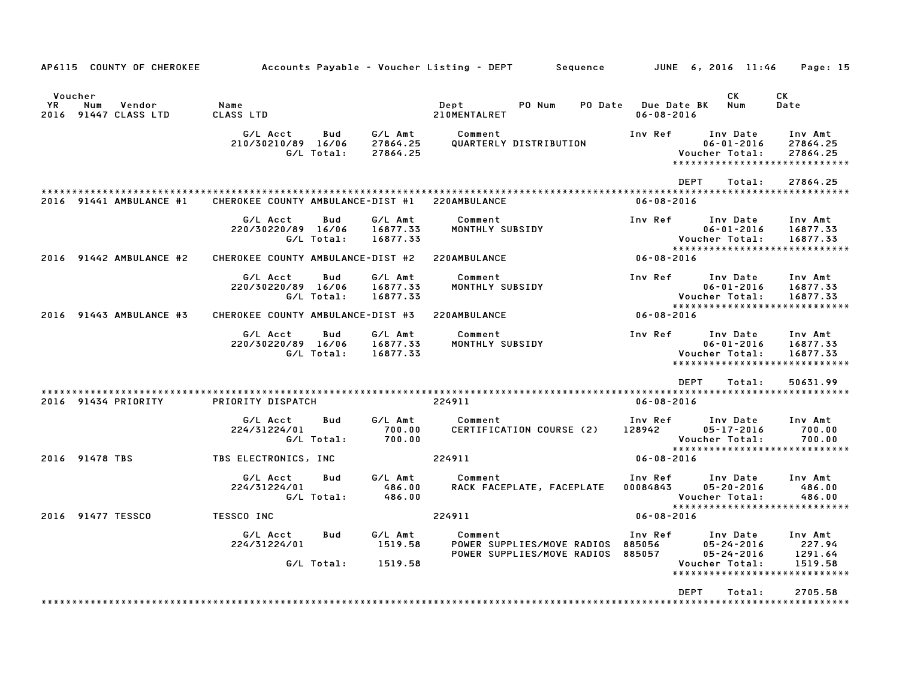|                        | AP6115 COUNTY OF CHEROKEE        |                                   |                   |                                 | Accounts Payable - Voucher Listing - DEPT<br>Sequence               |                  |                                 | JUNE 6, 2016 11:46                                           | Page: 15                                                                 |
|------------------------|----------------------------------|-----------------------------------|-------------------|---------------------------------|---------------------------------------------------------------------|------------------|---------------------------------|--------------------------------------------------------------|--------------------------------------------------------------------------|
| Voucher<br>YR.<br>2016 | Num<br>Vendor<br>91447 CLASS LTD | Name<br>CLASS LTD                 |                   |                                 | Dept<br>PO Num<br>210MENTALRET                                      | PO Date          | Due Date BK<br>$06 - 08 - 2016$ | CK<br>Num                                                    | СK<br>Date                                                               |
|                        |                                  | G/L Acct<br>210/30210/89 16/06    | Bud<br>G/L Total: | G/L Amt<br>27864.25<br>27864.25 | Comment<br>QUARTERLY DISTRIBUTION                                   |                  | Inv Ref                         | Inv Date<br>$06 - 01 - 2016$<br>Voucher Total:               | Inv Amt<br>27864.25<br>27864.25<br>*****************************         |
|                        |                                  |                                   |                   |                                 |                                                                     |                  | <b>DEPT</b>                     | Total:                                                       | 27864.25                                                                 |
| 2016                   | 91441 AMBULANCE #1               | CHEROKEE COUNTY AMBULANCE-DIST #1 |                   |                                 | 220AMBULANCE                                                        |                  | $06 - 08 - 2016$                |                                                              |                                                                          |
|                        |                                  | G/L Acct<br>220/30220/89 16/06    | Bud<br>G/L Total: | G/L Amt<br>16877.33<br>16877.33 | Comment<br>MONTHLY SUBSIDY                                          |                  | Inv Ref                         | Inv Date<br>$06 - 01 - 2016$<br>Voucher Total:               | Inv Amt<br>16877.33<br>16877.33<br>******************************        |
| 2016                   | 91442 AMBULANCE #2               | CHEROKEE COUNTY AMBULANCE-DIST #2 |                   |                                 | 220AMBULANCE                                                        |                  | $06 - 08 - 2016$                |                                                              |                                                                          |
|                        |                                  | G/L Acct<br>220/30220/89 16/06    | Bud<br>G/L Total: | G/L Amt<br>16877.33<br>16877.33 | Comment<br>MONTHLY SUBSIDY                                          |                  | Inv Ref                         | Inv Date<br>$06 - 01 - 2016$<br>Voucher Total:               | Inv Amt<br>16877.33<br>16877.33<br>*****************************         |
| 2016                   | 91443 AMBULANCE #3               | CHEROKEE COUNTY AMBULANCE-DIST #3 |                   |                                 | 220AMBULANCE                                                        |                  | $06 - 08 - 2016$                |                                                              |                                                                          |
|                        |                                  | G/L Acct<br>220/30220/89 16/06    | Bud<br>G/L Total: | G/L Amt<br>16877.33<br>16877.33 | Comment<br>MONTHLY SUBSIDY                                          |                  | Inv Ref                         | Inv Date<br>$06 - 01 - 2016$<br>Voucher Total:               | Inv Amt<br>16877.33<br>16877.33<br>*****************************         |
|                        |                                  |                                   |                   |                                 |                                                                     |                  | DEPT                            | Total:                                                       | 50631.99                                                                 |
|                        | 2016 91434 PRIORITY              | PRIORITY DISPATCH                 |                   |                                 | 224911                                                              |                  | $06 - 08 - 2016$                |                                                              |                                                                          |
|                        |                                  | G/L Acct<br>224/31224/01          | Bud<br>G/L Total: | G/L Amt<br>700.00<br>700.00     | Comment<br>CERTIFICATION COURSE (2)                                 | 128942           | Inv Ref                         | Inv Date<br>$05 - 17 - 2016$<br>Voucher Total:               | Inv Amt<br>700.00<br>700.00<br>*****************************             |
|                        | 2016 91478 TBS                   | TBS ELECTRONICS, INC              |                   |                                 | 224911                                                              |                  | $06 - 08 - 2016$                |                                                              |                                                                          |
|                        |                                  | G/L Acct<br>224/31224/01          | Bud<br>G/L Total: | G/L Amt<br>486.00<br>486.00     | Comment<br>RACK FACEPLATE, FACEPLATE                                | 00084843         | Inv Ref                         | Inv Date<br>$05 - 20 - 2016$<br>Voucher Total:               | Inv Amt<br>486.00<br>486.00<br>*****************************             |
|                        | 2016 91477 TESSCO                | TESSCO INC                        |                   |                                 | 224911                                                              |                  | $06 - 08 - 2016$                |                                                              |                                                                          |
|                        |                                  | G/L Acct<br>224/31224/01          | Bud<br>G/L Total: | G/L Amt<br>1519.58<br>1519.58   | Comment<br>POWER SUPPLIES/MOVE RADIOS<br>POWER SUPPLIES/MOVE RADIOS | 885056<br>885057 | Inv Ref                         | Inv Date<br>05-24-2016<br>$05 - 24 - 2016$<br>Voucher Total: | Inv Amt<br>227.94<br>1291.64<br>1519.58<br>***************************** |
|                        | * * * * * * * * * * * * * * * *  |                                   |                   |                                 |                                                                     |                  | <b>DEPT</b>                     | Total:                                                       | 2705.58                                                                  |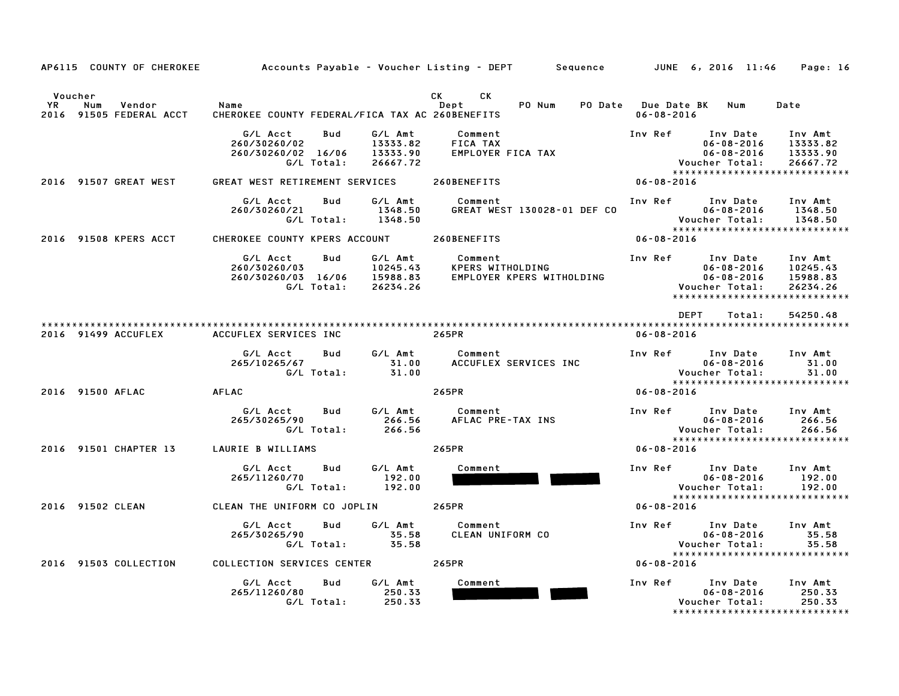| AP6115 COUNTY OF CHEROKEE                                  |                                                                                                                    | Accounts Payable – Voucher Listing – DEPT         Sequence | JUNE 6, 2016 11:46<br>Page: 16                                                                                                                                |
|------------------------------------------------------------|--------------------------------------------------------------------------------------------------------------------|------------------------------------------------------------|---------------------------------------------------------------------------------------------------------------------------------------------------------------|
| Voucher<br>YR.<br>Num<br>Vendor<br>2016 91505 FEDERAL ACCT | Name<br>CHEROKEE COUNTY FEDERAL/FICA TAX AC 260BENEFITS                                                            | CK<br>CK.<br>Dept<br>PO Num                                | PO Date Due Date BK Num<br>Date<br>$06 - 08 - 2016$                                                                                                           |
|                                                            | G/L Amt<br>G/L Acct<br>Bud<br>13333.82<br>260/30260/02<br>13333.90<br>260/30260/02 16/06<br>G/L Total:<br>26667.72 | Comment<br>FICA TAX<br>EMPLOYER FICA TAX                   | Inv Ref<br>Inv Date<br>Inv Amt<br>$06 - 08 - 2016$<br>13333.82<br>13333.90<br>$06 - 08 - 2016$<br>Voucher Total:<br>26667.72<br>***************************** |
| 2016 91507 GREAT WEST                                      | GREAT WEST RETIREMENT SERVICES                                                                                     | 260BENEFITS                                                | $06 - 08 - 2016$                                                                                                                                              |
| 2016 91508 KPERS ACCT                                      | G/L Amt<br>G/L Acct<br>Bud<br>260/30260/21<br>1348.50<br>G/L Total:<br>1348.50<br>CHEROKEE COUNTY KPERS ACCOUNT    | Comment<br>GREAT WEST 130028-01 DEF CO<br>260BENEFITS      | Inv Ref<br>Inv Amt<br>Inv Date<br>$06 - 08 - 2016$<br>1348.50<br>Voucher Total:<br>1348.50<br>*****************************<br>$06 - 08 - 2016$               |
|                                                            | G/L Acct<br>Bud<br>G/L Amt<br>10245.43<br>260/30260/03<br>260/30260/03 16/06<br>15988.83<br>G/L Total:<br>26234.26 | Comment<br>KPERS WITHOLDING<br>EMPLOYER KPERS WITHOLDING   | Inv Ref<br>Inv Date<br>Inv Amt<br>10245.43<br>$06 - 08 - 2016$<br>$06 - 08 - 2016$<br>15988.83<br>Voucher Total:<br>26234.26<br>***************************** |
| 2016 91499 ACCUFLEX                                        | ACCUFLEX SERVICES INC                                                                                              | 265PR                                                      | <b>DEPT</b><br>54250.48<br>Total:<br>$06 - 08 - 2016$                                                                                                         |
|                                                            | G/L Amt<br>G/L Acct<br>Bud<br>265/10265/67<br>31.00<br>G/L Total:<br>31.00                                         | Comment<br>ACCUFLEX SERVICES INC                           | Inv Ref<br>Inv Date<br>Inv Amt<br>$06 - 08 - 2016$<br>31.00<br>Voucher Total:<br>31.00<br>*****************************                                       |
| 2016 91500 AFLAC                                           | <b>AFLAC</b>                                                                                                       | 265PR                                                      | $06 - 08 - 2016$                                                                                                                                              |
|                                                            | G/L Acct<br>Bud<br>G/L Amt<br>265/30265/90<br>266.56<br>G/L Total:<br>266.56                                       | Comment<br>AFLAC PRE-TAX INS                               | Inv Ref<br>Inv Date<br>Inv Amt<br>$06 - 08 - 2016$<br>266.56<br>266.56<br>Voucher Total:<br>*****************************                                     |
| 2016 91501 CHAPTER 13                                      | LAURIE B WILLIAMS                                                                                                  | 265PR                                                      | $06 - 08 - 2016$                                                                                                                                              |
|                                                            | Bud<br>G/L Amt<br>G/L Acct<br>192.00<br>265/11260/70<br>192.00<br>G/L Total:                                       | Comment                                                    | Inv Ref<br>Inv Amt<br>Inv Date<br>$06 - 08 - 2016$<br>192.00<br>Voucher Total:<br>192.00<br>*****************************                                     |
| 2016 91502 CLEAN                                           | CLEAN THE UNIFORM CO JOPLIN                                                                                        | 265PR                                                      | $06 - 08 - 2016$                                                                                                                                              |
|                                                            | G/L Acct<br>G/L Amt<br>Bud<br>265/30265/90<br>35.58<br>G/L Total:<br>35.58                                         | Comment<br><b>CLEAN UNIFORM CO</b>                         | Inv Ref<br>Inv Date<br>Inv Amt<br>$06 - 08 - 2016$<br>35.58<br>35.58<br>Voucher Total:<br>*****************************                                       |
| 2016 91503 COLLECTION                                      | COLLECTION SERVICES CENTER                                                                                         | 265PR                                                      | $06 - 08 - 2016$                                                                                                                                              |
|                                                            | G/L Acct<br>Bud<br>G/L Amt<br>265/11260/80<br>250.33<br>250.33<br>G/L Total:                                       | Comment                                                    | Inv Ref<br>Inv Amt<br>Inv Date<br>$06 - 08 - 2016$<br>250.33<br>Voucher Total:<br>250.33<br>*****************************                                     |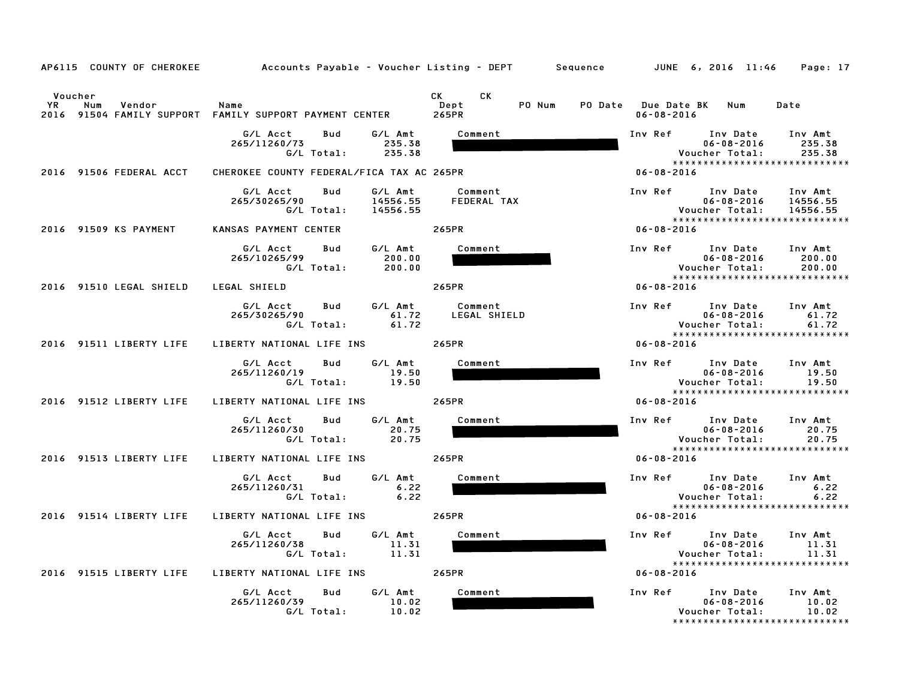|               | AP6115 COUNTY OF CHEROKEE | Accounts Payable - Voucher Listing - DEPT Sequence JUNE 6, 2016 11:46            |                                     | Page: 17                                                                                                                          |
|---------------|---------------------------|----------------------------------------------------------------------------------|-------------------------------------|-----------------------------------------------------------------------------------------------------------------------------------|
| Voucher<br>YR | Vendor<br>Num             | Name<br>2016 91504 FAMILY SUPPORT FAMILY SUPPORT PAYMENT CENTER 265PR            | CK L<br><b>CK</b><br>PO Num<br>Dept | PO Date Due Date BK Num<br>Date<br>$06 - 08 - 2016$                                                                               |
|               |                           | G/L Acct<br>G⁄L Amt<br>Bud<br>235.38<br>265/11260/73<br>G/L Total: 235.38        | Comment                             | Inv Ref<br>Inv Date Inv Amt<br>$06 - 08 - 2016$<br>235.38<br>Voucher Total:<br>235.38<br>*****************************            |
|               | 2016 91506 FEDERAL ACCT   | CHEROKEE COUNTY FEDERAL/FICA TAX AC 265PR                                        |                                     | $06 - 08 - 2016$                                                                                                                  |
|               |                           | G/L Acct<br>Bud<br>G/L Amt<br>14556.55<br>265/30265/90<br>G/L Total:<br>14556.55 | Comment<br>FEDERAL TAX              | Inv Ref Inv Date Inv Amt<br>$06 - 08 - 2016$<br>14556.55<br>Voucher Total:<br>14556.55<br>*****************************           |
|               | 2016 91509 KS PAYMENT     | KANSAS PAYMENT CENTER                                                            | 265PR                               | 06-08-2016                                                                                                                        |
|               |                           | G/L Acct<br>Bud<br>G/L Amt<br>265/10265/99<br>200.00<br>G/L Total:<br>200.00     | Comment                             | Inv Ref Inv Date<br>06-08-2016<br>Voucher Tetel<br>Inv Amt<br>200.00<br>Voucher Total:<br>200.00<br>***************************** |
|               | 2016 91510 LEGAL SHIELD   | LEGAL SHIELD <b>Andrew Strutter</b>                                              | 265PR                               | $06 - 08 - 2016$                                                                                                                  |
|               |                           | G/L Acct Bud G/L Amt Comment<br>265/30265/90<br>61.72<br>G/L Total:<br>61.72     | <b>LEGAL SHIELD</b>                 | Inv Ref Inv Date Inv Amt<br>$06 - 08 - 2016$<br>61.72<br>61.72<br>*****************************                                   |
|               | 2016 91511 LIBERTY LIFE   | LIBERTY NATIONAL LIFE INS 265PR                                                  |                                     | $06 - 08 - 2016$                                                                                                                  |
|               |                           | G/L Amt<br>G/L Acct<br>Bud<br>265/11260/19<br>19.50<br>G/L Total:<br>19.50       | Comment                             | Inv Ref Inv Date Inv Amt<br>$06 - 08 - 2016$<br>19.50<br>Voucher Total:<br>19.50<br>******************************                |
|               | 2016 91512 LIBERTY LIFE   | LIBERTY NATIONAL LIFE INS                                                        | 265PR                               | $06 - 08 - 2016$                                                                                                                  |
|               |                           | G/L Acct<br>Bud<br>G/L Amt<br>265/11260/30<br>20.75<br>G/L Total:<br>20.75       | Comment                             | Inv Ref Inv Date Inv Amt<br>$06 - 08 - 2016$<br>20.75<br>Voucher Total:<br>20.75<br>*****************************                 |
|               | 2016 91513 LIBERTY LIFE   | LIBERTY NATIONAL LIFE INS                                                        | 265PR                               | $06 - 08 - 2016$                                                                                                                  |
|               |                           | Bud<br>G/L Amt<br>G/L Acct<br>265/11260/31<br>6.22<br>$G/L$ Total: 6.22          | Comment                             | Inv Ref Inv Date<br>Inv Amt<br>$06 - 08 - 2016$<br>6.22<br>Voucher Total:<br>6.22                                                 |
|               | 2016 91514 LIBERTY LIFE   | LIBERTY NATIONAL LIFE INS                                                        | 265PR                               | *****************************<br>$06 - 08 - 2016$                                                                                 |
|               |                           | G/L Acct<br>Bud<br>G/L Amt<br>265/11260/38<br>11.31<br>G/L Total:<br>11.31       | Comment                             | Inv Ref Inv Date<br>Inv Amt<br>$06 - 08 - 2016$<br>11.31<br>Voucher Total:<br>11.31                                               |
|               |                           | 2016 91515 LIBERTY LIFE LIBERTY NATIONAL LIFE INS 265PR                          |                                     | *****************************<br>$06 - 08 - 2016$                                                                                 |
|               |                           | G/L Acct<br>G/L Amt<br>Bud<br>265/11260/39<br>10.02<br>G/L Total:<br>10.02       | Comment                             | Inv Ref Inv Date Inv Amt<br>$06 - 08 - 2016$<br>10.02<br>Voucher Total:<br>10.02<br>*****************************                 |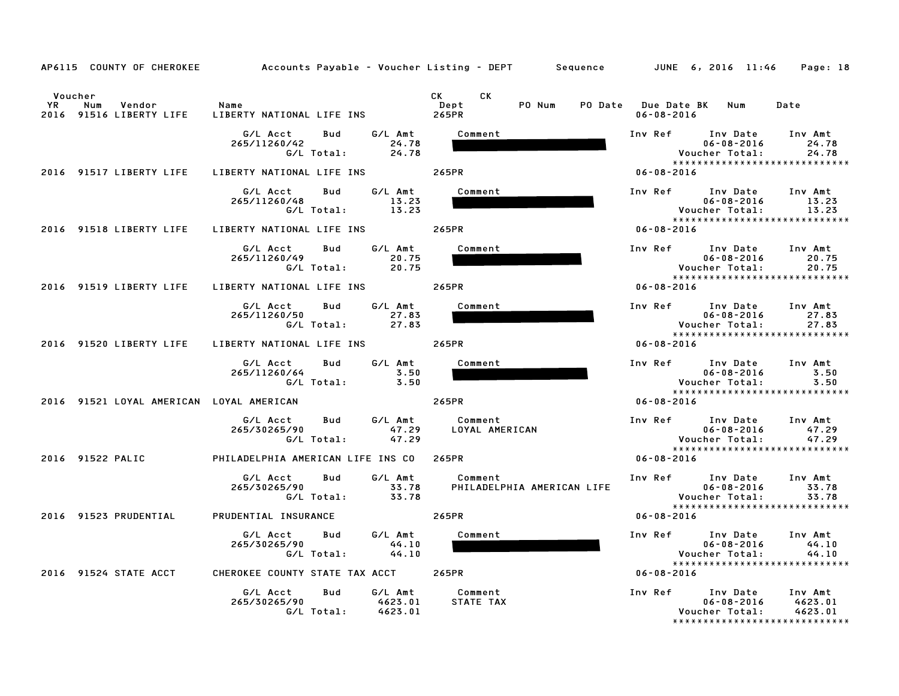|                      |                                          |                                                      | AP6115 COUNTY OF CHEROKEE         Accounts Payable – Voucher Listing – DEPT      Sequence        JUNE 6, 2016 11:46                                                                                                                                             | Page: 18                                                                                                                    |
|----------------------|------------------------------------------|------------------------------------------------------|-----------------------------------------------------------------------------------------------------------------------------------------------------------------------------------------------------------------------------------------------------------------|-----------------------------------------------------------------------------------------------------------------------------|
| Voucher<br><b>YR</b> | Num<br>Vendor<br>2016 91516 LIBERTY LIFE | Name<br>LIBERTY NATIONAL LIFE INS                    | CK and the set of the set of the set of the set of the set of the set of the set of the set of the set of the set of the set of the set of the set of the set of the set of the set of the set of the set of the set of the se<br>CK<br>PO Num<br>Dept<br>265PR | PO Date Due Date BK Num<br>Date<br>$06 - 08 - 2016$                                                                         |
|                      |                                          | G/L Acct<br>Bud<br>265/11260/42<br>G/L Total:        | G/L Amt<br>Comment<br>24.78<br>24.78                                                                                                                                                                                                                            | Inv Ref Inv Date<br>Inv Amt<br>$06 - 08 - 2016$<br>24.78<br>Voucher Total:<br>24.78<br>*****************************        |
|                      | 2016 91517 LIBERTY LIFE                  | LIBERTY NATIONAL LIFE INS                            | 265PR                                                                                                                                                                                                                                                           | $06 - 08 - 2016$                                                                                                            |
|                      |                                          | G/L Acct<br>Bud<br>265/11260/48<br>G/L Total:        | G/L Amt<br>Comment<br>13.23<br>13.23                                                                                                                                                                                                                            | Inv Ref Inv Date<br>Inv Amt<br>$06 - 08 - 2016$<br>13.23<br>Voucher Total:<br>13.23<br>*****************************        |
|                      | 2016 91518 LIBERTY LIFE                  | LIBERTY NATIONAL LIFE INS                            | 265PR                                                                                                                                                                                                                                                           | $06 - 08 - 2016$                                                                                                            |
|                      |                                          | G/L Acct<br>Bud<br>265/11260/49<br>G/L Total:        | G/L Amt<br>Comment<br>20.75<br>20.75                                                                                                                                                                                                                            | Inv Ref<br>Inv Date<br>Inv Amt<br>$06 - 08 - 2016$<br>20.75<br>Voucher Total:<br>20.75<br>*****************************     |
|                      | 2016 91519 LIBERTY LIFE                  | LIBERTY NATIONAL LIFE INS                            | 265PR                                                                                                                                                                                                                                                           | $06 - 08 - 2016$                                                                                                            |
|                      |                                          | G/L Acct<br>Bud<br>265/11260/50<br>G/L Total:        | G/L Amt<br>Comment<br>27.83<br>27.83                                                                                                                                                                                                                            | Inv Ref Inv Date<br>Inv Amt<br>$06 - 08 - 2016$<br>27.83<br>Voucher Total:<br>27.83<br>*****************************        |
|                      | 2016 91520 LIBERTY LIFE                  | LIBERTY NATIONAL LIFE INS                            | 265PR                                                                                                                                                                                                                                                           | $06 - 08 - 2016$                                                                                                            |
|                      |                                          | G/L Acct<br>Bud<br>265/11260/64<br>G/L Total:        | G/L Amt<br>Comment<br>3.50<br>3.50                                                                                                                                                                                                                              | Inv Ref<br>Inv Date<br>Inv Amt<br>$06 - 08 - 2016$<br>3.50<br>Voucher Total:<br>3.50<br>*****************************       |
|                      | 2016 91521 LOYAL AMERICAN LOYAL AMERICAN |                                                      | 265PR                                                                                                                                                                                                                                                           | $06 - 08 - 2016$                                                                                                            |
|                      |                                          | G/L Acct<br><b>Bud</b><br>265/30265/90<br>G/L Total: | G/L Amt<br>Comment<br>47.29<br>LOYAL AMERICAN<br>47.29                                                                                                                                                                                                          | Inv Ref Inv Date<br>Inv Amt<br>$06 - 08 - 2016$<br>47.29<br>47.29<br>Voucher Total:<br>*****************************        |
|                      | 2016 91522 PALIC                         | PHILADELPHIA AMERICAN LIFE INS CO                    | 265PR                                                                                                                                                                                                                                                           | $06 - 08 - 2016$                                                                                                            |
|                      |                                          | G/L Acct<br>Bud<br>265/30265/90<br>G/L Total:        | G/L Amt<br>Comment<br>33.78<br>PHILADELPHIA AMERICAN LIFE<br>33.78                                                                                                                                                                                              | Inv Ref Inv Date<br>Inv Amt<br>$06 - 08 - 2016$<br>33.78<br>Voucher Total:<br>33.78<br>*****************************        |
|                      | 2016 91523 PRUDENTIAL                    | PRUDENTIAL INSURANCE                                 | 265PR                                                                                                                                                                                                                                                           | $06 - 08 - 2016$                                                                                                            |
|                      |                                          | G/L Acct<br>Bud<br>265/30265/90<br>G/L Total:        | G/L Amt<br>Comment<br>44.10<br>44.10                                                                                                                                                                                                                            | Inv Ref Inv Date<br>Inv Amt<br>44.10<br>$06 - 08 - 2016$<br>Voucher Total:<br>44.10<br>*****************************        |
|                      | 2016 91524 STATE ACCT                    | CHEROKEE COUNTY STATE TAX ACCT                       | 265PR                                                                                                                                                                                                                                                           | 06-08-2016                                                                                                                  |
|                      |                                          | G/L Acct<br>Bud<br>265/30265/90<br>G/L Total:        | G/L Amt<br>Comment<br>4623.01<br>STATE TAX<br>4623.01                                                                                                                                                                                                           | Inv Ref<br>Inv Date<br>Inv Amt<br>$06 - 08 - 2016$<br>4623.01<br>Voucher Total:<br>4623.01<br>***************************** |